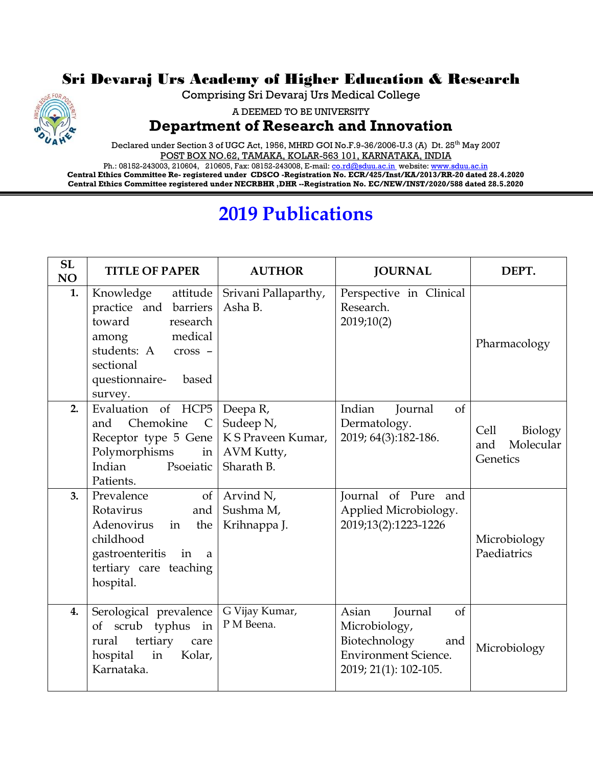## Sri Devaraj Urs Academy of Higher Education & Research



Comprising Sri Devaraj Urs Medical College

A DEEMED TO BE UNIVERSITY

## **Department of Research and Innovation**

Declared under Section 3 of UGC Act, 1956, MHRD GOI No.F.9-36/2006-U.3 (A) Dt. 25<sup>th</sup> May 2007 POST BOX NO.62, TAMAKA, KOLAR-563 101, KARNATAKA, INDIA

Ph.: 08152-243003, 210604, 210605, Fax: 08152-243008, E-mail[: co.rd@sduu.ac.in](mailto:co.rd@sduu.ac.in) website[: www.sduu.ac.in](http://www.sduu.ac.in/) **Central Ethics Committee Re- registered under CDSCO -Registration No. ECR/425/Inst/KA/2013/RR-20 dated 28.4.2020 Central Ethics Committee registered under NECRBHR ,DHR --Registration No. EC/NEW/INST/2020/588 dated 28.5.2020**

## **2019 Publications**

| <b>SL</b><br>NO | <b>TITLE OF PAPER</b>                                                                                                                                                  | <b>AUTHOR</b>                                | <b>JOURNAL</b>                                                                                                          | DEPT.                                           |
|-----------------|------------------------------------------------------------------------------------------------------------------------------------------------------------------------|----------------------------------------------|-------------------------------------------------------------------------------------------------------------------------|-------------------------------------------------|
| 1.              | Knowledge<br>attitude<br>practice and barriers<br>toward<br>research<br>medical<br>among<br>students: A<br>$\csc$ -<br>sectional<br>questionnaire-<br>based<br>survey. | Srivani Pallaparthy,<br>Asha B.              | Perspective in Clinical<br>Research.<br>2019;10(2)                                                                      | Pharmacology                                    |
| 2.              | Evaluation of HCP5   Deepa R,<br>Chemokine<br>and<br>$\mathsf{C}$<br>Receptor type 5 Gene   K S Praveen Kumar,<br>Polymorphisms<br>Indian<br>Psoeiatic<br>Patients.    | Sudeep N,<br>in   $AVM$ Kutty,<br>Sharath B. | Indian<br>$\sigma$<br>Journal<br>Dermatology.<br>2019; 64(3):182-186.                                                   | Cell<br>Biology<br>Molecular<br>and<br>Genetics |
| 3.              | Prevalence<br>$\sigma$ f<br>Rotavirus<br>and<br>Adenovirus<br>the<br>in<br>childhood<br>gastroenteritis in<br>a a<br>tertiary care teaching<br>hospital.               | Arvind N,<br>Sushma M,<br>Krihnappa J.       | Journal of Pure and<br>Applied Microbiology.<br>2019;13(2):1223-1226                                                    | Microbiology<br>Paediatrics                     |
| 4.              | Serological prevalence<br>of scrub typhus in<br>tertiary<br>rural<br>care<br>in<br>Kolar,<br>hospital<br>Karnataka.                                                    | G Vijay Kumar,<br>P M Beena.                 | Asian<br>Journal<br>of<br>Microbiology,<br>Biotechnology<br>and<br><b>Environment Science.</b><br>2019; 21(1): 102-105. | Microbiology                                    |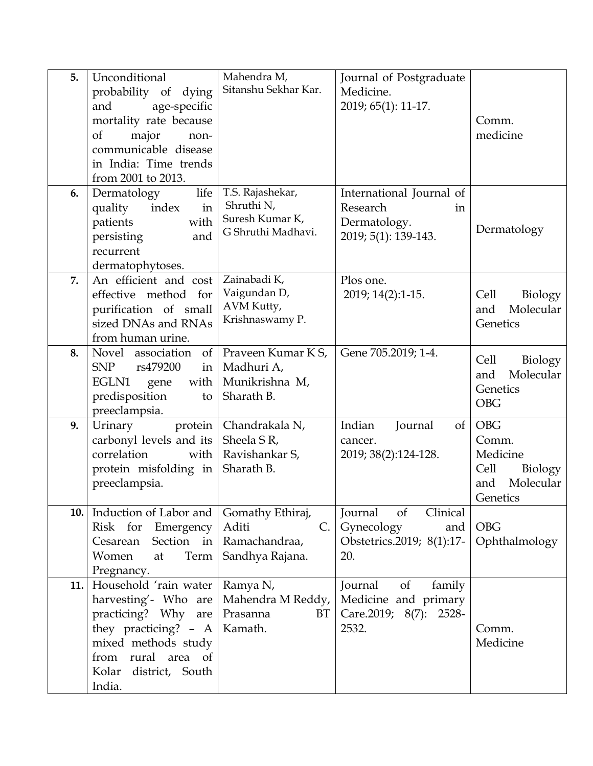| 5.  | Unconditional                     | Mahendra M,             | Journal of Postgraduate       |                  |
|-----|-----------------------------------|-------------------------|-------------------------------|------------------|
|     | probability of dying              | Sitanshu Sekhar Kar.    | Medicine.                     |                  |
|     | age-specific<br>and               |                         | 2019; 65(1): 11-17.           |                  |
|     | mortality rate because            |                         |                               | Comm.            |
|     | of<br>major<br>non-               |                         |                               | medicine         |
|     | communicable disease              |                         |                               |                  |
|     | in India: Time trends             |                         |                               |                  |
|     | from 2001 to 2013.                |                         |                               |                  |
| 6.  | life<br>Dermatology               | T.S. Rajashekar,        | International Journal of      |                  |
|     | index<br>in                       | Shruthi N,              | Research                      |                  |
|     | quality                           | Suresh Kumar K,         | in                            |                  |
|     | patients<br>with                  | G Shruthi Madhavi.      | Dermatology.                  | Dermatology      |
|     | persisting<br>and                 |                         | 2019; 5(1): 139-143.          |                  |
|     | recurrent                         |                         |                               |                  |
|     | dermatophytoses.                  |                         |                               |                  |
| 7.  | An efficient and cost             | Zainabadi K,            | Plos one.                     |                  |
|     | effective method for              | Vaigundan D,            | 2019; 14(2):1-15.             | Biology<br>Cell  |
|     | purification of small             | AVM Kutty,              |                               | Molecular<br>and |
|     | sized DNAs and RNAs               | Krishnaswamy P.         |                               | Genetics         |
|     | from human urine.                 |                         |                               |                  |
| 8.  | Novel association<br>of           | Praveen Kumar K S,      | Gene 705.2019; 1-4.           |                  |
|     | <b>SNP</b><br>rs479200<br>in      | Madhuri A,              |                               | Cell<br>Biology  |
|     | EGLN1<br>with<br>gene             | Munikrishna M,          |                               | Molecular<br>and |
|     | predisposition<br>to              | Sharath B.              |                               | Genetics         |
|     | preeclampsia.                     |                         |                               | <b>OBG</b>       |
| 9.  | Urinary<br>protein                | Chandrakala N,          | Indian<br>Journal<br>$\sigma$ | <b>OBG</b>       |
|     | carbonyl levels and its           | Sheela S R,             | cancer.                       | Comm.            |
|     | correlation<br>with               | Ravishankar S,          | 2019; 38(2):124-128.          | Medicine         |
|     | protein misfolding in             | Sharath B.              |                               | Cell<br>Biology  |
|     | preeclampsia.                     |                         |                               | Molecular<br>and |
|     |                                   |                         |                               |                  |
|     |                                   |                         |                               | Genetics         |
| 10. | Induction of Labor and            | Gomathy Ethiraj,        | Clinical<br>of<br>Journal     |                  |
|     | Risk for Emergency                | Aditi<br>$\mathsf{C}$ . | Gynecology<br>and             | <b>OBG</b>       |
|     | Cesarean Section in Ramachandraa, |                         | Obstetrics.2019; 8(1):17-     | Ophthalmology    |
|     | Women<br>Term<br>at               | Sandhya Rajana.         | 20.                           |                  |
|     | Pregnancy.                        |                         |                               |                  |
| 11. | Household 'rain water             | Ramya N,                | of<br>family<br>Journal       |                  |
|     | harvesting'- Who are              | Mahendra M Reddy,       | Medicine and primary          |                  |
|     | practicing? Why are               | Prasanna<br>BT          | Care.2019; 8(7): 2528-        |                  |
|     | they practicing? - A   Kamath.    |                         | 2532.                         | Comm.            |
|     | mixed methods study               |                         |                               | Medicine         |
|     | from rural area of                |                         |                               |                  |
|     |                                   |                         |                               |                  |
|     | India.                            |                         |                               |                  |
|     | Kolar district, South             |                         |                               |                  |
|     |                                   |                         |                               |                  |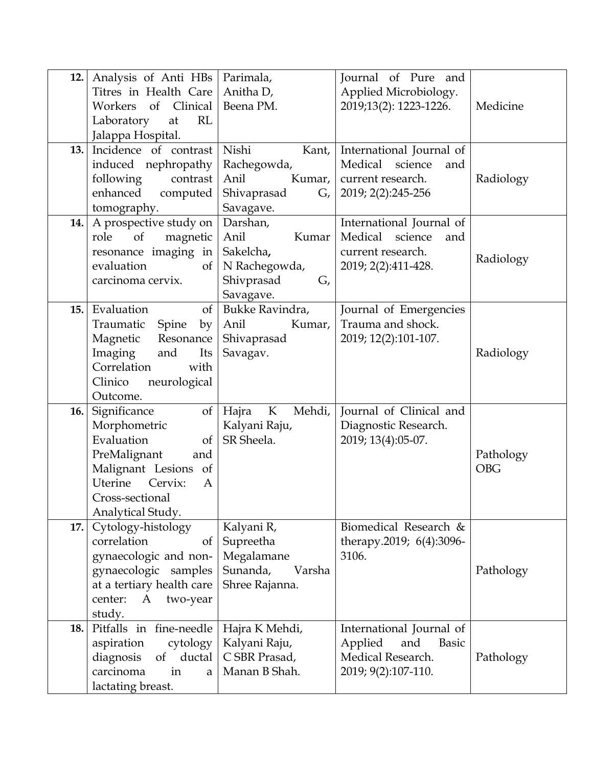| 12. | Analysis of Anti HBs        | Parimala,                      | Journal of Pure and      |            |
|-----|-----------------------------|--------------------------------|--------------------------|------------|
|     | Titres in Health Care       | Anitha D,                      | Applied Microbiology.    |            |
|     | of Clinical<br>Workers      | Beena PM.                      | 2019;13(2): 1223-1226.   | Medicine   |
|     | RL<br>Laboratory<br>at      |                                |                          |            |
|     | Jalappa Hospital.           |                                |                          |            |
| 13. | Incidence of contrast       | Nishi<br>Kant,                 | International Journal of |            |
|     | induced nephropathy         | Rachegowda,                    | Medical science<br>and   |            |
|     | following<br>contrast       | Anil<br>Kumar,                 | current research.        | Radiology  |
|     | enhanced<br>computed        | Shivaprasad<br>G,              | 2019; 2(2):245-256       |            |
|     | tomography.                 | Savagave.                      |                          |            |
| 14. | A prospective study on      | Darshan,                       | International Journal of |            |
|     | of<br>magnetic<br>role      | Anil<br>Kumar                  | Medical science<br>and   |            |
|     | resonance imaging in $ $    | Sakelcha,                      | current research.        | Radiology  |
|     | evaluation<br>of            | N Rachegowda,                  | 2019; 2(2):411-428.      |            |
|     | carcinoma cervix.           | Shivprasad<br>G,               |                          |            |
|     |                             | Savagave.                      |                          |            |
| 15. | Evaluation<br>of            | Bukke Ravindra,                | Journal of Emergencies   |            |
|     | Spine<br>Traumatic<br>by    | Anil<br>Kumar,                 | Trauma and shock.        |            |
|     | Resonance<br>Magnetic       | Shivaprasad                    | 2019; 12(2):101-107.     |            |
|     | Imaging<br>and<br>Its       | Savagav.                       |                          | Radiology  |
|     | Correlation<br>with         |                                |                          |            |
|     | Clinico<br>neurological     |                                |                          |            |
|     | Outcome.                    |                                |                          |            |
| 16. | Significance<br>of          | Hajra<br>$\mathbf K$<br>Mehdi, | Journal of Clinical and  |            |
|     | Morphometric                | Kalyani Raju,                  | Diagnostic Research.     |            |
|     | Evaluation<br><sub>of</sub> | SR Sheela.                     | 2019; 13(4):05-07.       |            |
|     | PreMalignant<br>and         |                                |                          | Pathology  |
|     | Malignant Lesions of        |                                |                          | <b>OBG</b> |
|     | Uterine<br>Cervix:<br>A     |                                |                          |            |
|     | Cross-sectional             |                                |                          |            |
|     | Analytical Study.           |                                |                          |            |
| 17. | Cytology-histology          | Kalyani R,                     | Biomedical Research &    |            |
|     | correlation<br>of           | Supreetha                      | therapy.2019; 6(4):3096- |            |
|     | gynaecologic and non-       | Megalamane                     | 3106.                    |            |
|     | gynaecologic samples        | Sunanda,<br>Varsha             |                          | Pathology  |
|     | at a tertiary health care   | Shree Rajanna.                 |                          |            |
|     | center:<br>two-year<br>A    |                                |                          |            |
|     | study.                      |                                |                          |            |
| 18. | Pitfalls in fine-needle     | Hajra K Mehdi,                 | International Journal of |            |
|     | aspiration<br>cytology      | Kalyani Raju,                  | Applied<br>and<br>Basic  |            |
|     | ductal<br>diagnosis<br>of   | C SBR Prasad,                  | Medical Research.        | Pathology  |
|     | carcinoma<br>in<br>a        | Manan B Shah.                  | 2019; 9(2):107-110.      |            |
|     | lactating breast.           |                                |                          |            |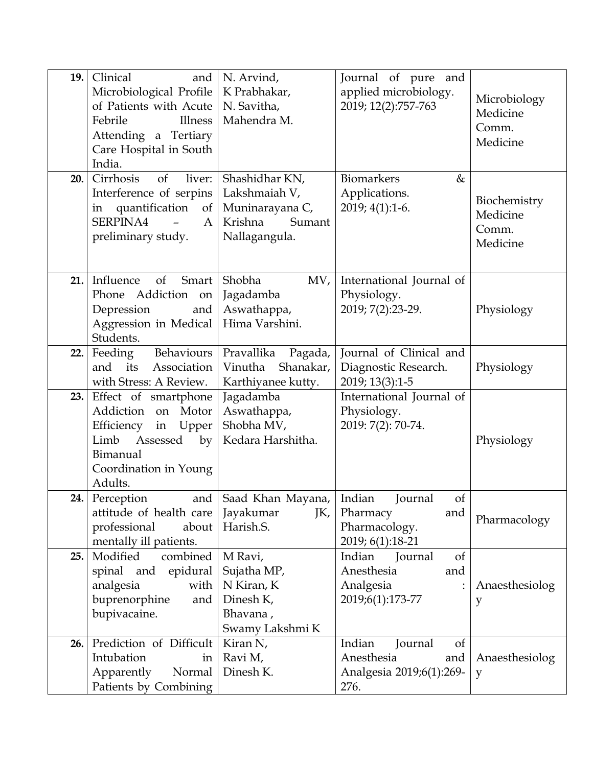| 19.  | Clinical<br>and<br>Microbiological Profile<br>of Patients with Acute<br>Illness<br>Febrile<br>Attending a Tertiary<br>Care Hospital in South<br>India. | N. Arvind,<br>K Prabhakar,<br>N. Savitha,<br>Mahendra M.                                      | Journal of pure and<br>applied microbiology.<br>2019; 12(2):757-763              | Microbiology<br>Medicine<br>Comm.<br>Medicine |
|------|--------------------------------------------------------------------------------------------------------------------------------------------------------|-----------------------------------------------------------------------------------------------|----------------------------------------------------------------------------------|-----------------------------------------------|
| 20.  | Cirrhosis<br>of<br>liver:<br>Interference of serpins<br>in quantification<br>SERPINA4<br>A<br>preliminary study.                                       | Shashidhar KN,<br>Lakshmaiah V,<br>of   Muninarayana C,<br>Krishna<br>Sumant<br>Nallagangula. | Biomarkers<br>$\&$<br>Applications.<br>$2019; 4(1):1-6.$                         | Biochemistry<br>Medicine<br>Comm.<br>Medicine |
| 21.1 | Influence<br>of<br>Smart<br>Phone Addiction on<br>Depression<br>and<br>Aggression in Medical<br>Students.                                              | Shobha<br>MV,<br>Jagadamba<br>Aswathappa,<br>Hima Varshini.                                   | International Journal of<br>Physiology.<br>2019; 7(2):23-29.                     | Physiology                                    |
| 22.  | Behaviours<br>Feeding<br>Association<br>and<br>its<br>with Stress: A Review.                                                                           | Pravallika<br>Pagada,<br>Shanakar,<br>Vinutha<br>Karthiyanee kutty.                           | Journal of Clinical and<br>Diagnostic Research.<br>2019; 13(3):1-5               | Physiology                                    |
| 23.  | Effect of smartphone<br>Addiction on Motor<br>Efficiency<br>in Upper<br>Limb<br>Assessed<br>by<br>Bimanual<br>Coordination in Young<br>Adults.         | Jagadamba<br>Aswathappa,<br>Shobha MV,<br>Kedara Harshitha.                                   | International Journal of<br>Physiology.<br>2019: 7(2): 70-74.                    | Physiology                                    |
| 24.1 | and  <br>Perception<br>attitude of health care   Jayakumar<br>professional<br>about<br>mentally ill patients.                                          | Saad Khan Mayana,<br>JK,<br>Harish.S.                                                         | Indian<br>Journal<br>of<br>Pharmacy<br>and<br>Pharmacology.<br>2019; 6(1):18-21  | Pharmacology                                  |
| 25.  | Modified<br>combined<br>spinal and epidural<br>analgesia<br>with<br>buprenorphine<br>and<br>bupivacaine.                                               | M Ravi,<br>Sujatha MP,<br>N Kiran, K<br>Dinesh K,<br>Bhavana,<br>Swamy Lakshmi K              | Indian<br>Journal<br>of<br>Anesthesia<br>and<br>Analgesia<br>2019;6(1):173-77    | Anaesthesiolog<br>y                           |
| 26.  | Prediction of Difficult<br>Intubation<br>in<br>Apparently<br>Normal<br>Patients by Combining                                                           | Kiran N,<br>Ravi M,<br>Dinesh K.                                                              | Indian<br>Journal<br>of<br>Anesthesia<br>and<br>Analgesia 2019;6(1):269-<br>276. | Anaesthesiolog<br>y                           |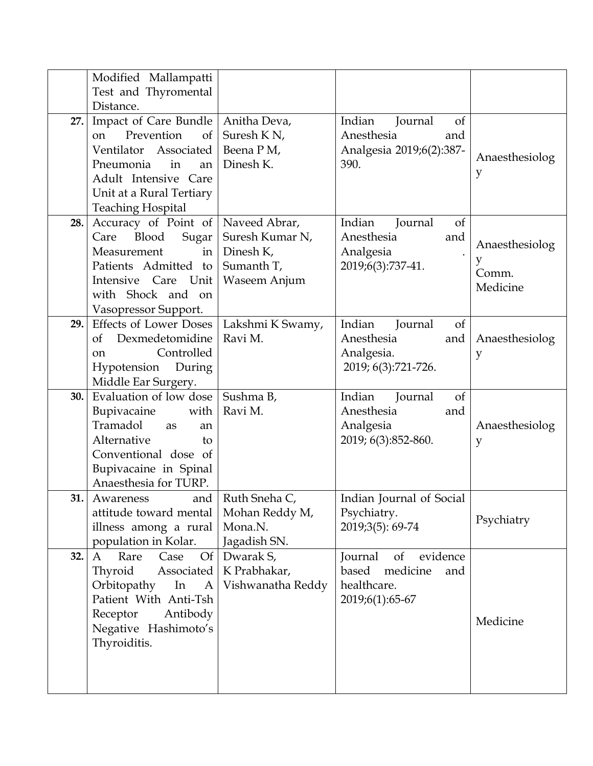|     | Modified Mallampatti                                                                                                                                                                       |                                                                    |                                                                                         |                                          |
|-----|--------------------------------------------------------------------------------------------------------------------------------------------------------------------------------------------|--------------------------------------------------------------------|-----------------------------------------------------------------------------------------|------------------------------------------|
|     | Test and Thyromental<br>Distance.                                                                                                                                                          |                                                                    |                                                                                         |                                          |
| 27. | Impact of Care Bundle<br>Prevention<br>on<br>of<br>Ventilator Associated<br>Pneumonia<br>in<br>an<br>Adult Intensive Care<br>Unit at a Rural Tertiary<br><b>Teaching Hospital</b>          | Anitha Deva,<br>Suresh K <sub>N</sub> ,<br>Beena P M,<br>Dinesh K. | Indian<br>Journal<br>of<br>Anesthesia<br>and<br>Analgesia 2019;6(2):387-<br>390.        | Anaesthesiolog<br>y                      |
| 28. | Accuracy of Point of   Naveed Abrar,<br>Blood<br>Care<br>Sugar<br>Measurement<br>$\frac{1}{2}$<br>Patients Admitted to<br>Intensive Care Unit<br>with Shock and on<br>Vasopressor Support. | Suresh Kumar N,<br>Dinesh K,<br>Sumanth T,<br>Waseem Anjum         | Indian<br>Journal<br>of<br>Anesthesia<br>and<br>Analgesia<br>2019;6(3):737-41.          | Anaesthesiolog<br>y<br>Comm.<br>Medicine |
| 29. | <b>Effects of Lower Doses</b><br>of<br>Dexmedetomidine<br>Controlled<br>on<br>During<br>Hypotension<br>Middle Ear Surgery.                                                                 | Lakshmi K Swamy,<br>Ravi M.                                        | Indian<br>Journal<br>of<br>Anesthesia<br>and<br>Analgesia.<br>2019; 6(3):721-726.       | Anaesthesiolog<br>y                      |
| 30. | Evaluation of low dose<br>Bupivacaine<br>with<br>Tramadol<br>as<br>an<br>Alternative<br>to<br>Conventional dose of<br>Bupivacaine in Spinal<br>Anaesthesia for TURP.                       | Sushma B,<br>Ravi M.                                               | Indian<br>Journal<br>of<br>Anesthesia<br>and<br>Analgesia<br>2019; 6(3):852-860.        | Anaesthesiolog<br>y                      |
| 31. | and<br>Awareness<br>attitude toward mental<br>illness among a rural<br>population in Kolar.                                                                                                | Ruth Sneha C,<br>Mohan Reddy M,<br>Mona.N.<br>Jagadish SN.         | Indian Journal of Social<br>Psychiatry.<br>2019;3(5): 69-74                             | Psychiatry                               |
| 32. | Case<br>Of <sub>1</sub><br>Rare<br>A<br>Thyroid<br>Associated<br>Orbitopathy<br>In<br>A<br>Patient With Anti-Tsh<br>Receptor<br>Antibody<br>Negative Hashimoto's<br>Thyroiditis.           | Dwarak S,<br>K Prabhakar,<br>Vishwanatha Reddy                     | evidence<br>Journal<br>of<br>based<br>medicine<br>and<br>healthcare.<br>2019;6(1):65-67 | Medicine                                 |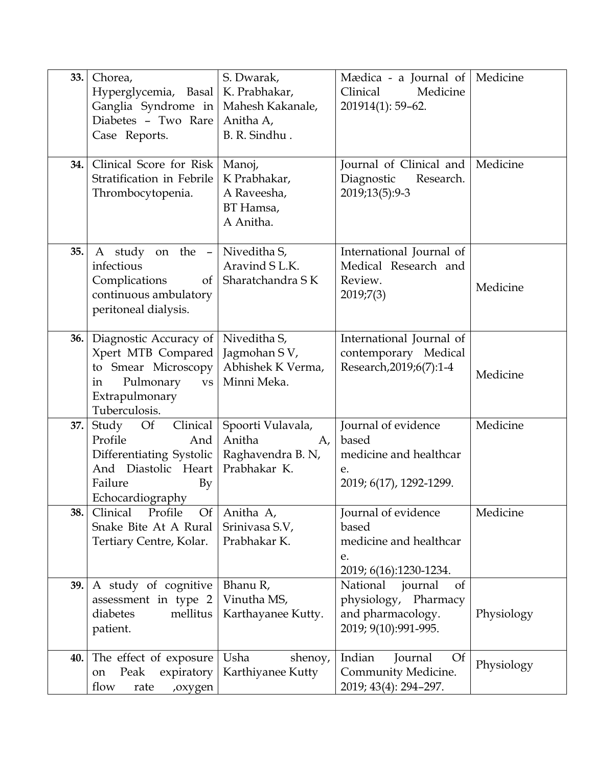| 33. | Chorea,<br>Hyperglycemia, Basal<br>Ganglia Syndrome in<br>Diabetes - Two Rare<br>Case Reports.                                           | S. Dwarak,<br>K. Prabhakar,<br>Mahesh Kakanale,<br>Anitha A,<br>B. R. Sindhu. | Mædica - a Journal of<br>Clinical<br>Medicine<br>201914(1): 59-62.                                        | Medicine   |
|-----|------------------------------------------------------------------------------------------------------------------------------------------|-------------------------------------------------------------------------------|-----------------------------------------------------------------------------------------------------------|------------|
| 34. | Clinical Score for Risk<br>Stratification in Febrile<br>Thrombocytopenia.                                                                | Manoj,<br>K Prabhakar,<br>A Raveesha,<br>BT Hamsa,<br>A Anitha.               | Journal of Clinical and<br>Diagnostic<br>Research.<br>2019;13(5):9-3                                      | Medicine   |
| 35. | A study on the -<br>infectious<br>Complications<br>of<br>continuous ambulatory<br>peritoneal dialysis.                                   | Niveditha S,<br>Aravind S L.K.<br>Sharatchandra SK                            | International Journal of<br>Medical Research and<br>Review.<br>2019;7(3)                                  | Medicine   |
| 36. | Diagnostic Accuracy of<br>Xpert MTB Compared<br>to Smear Microscopy<br>Pulmonary<br>in<br><b>VS</b><br>Extrapulmonary<br>Tuberculosis.   | Niveditha S,<br>Jagmohan SV,<br>Abhishek K Verma,<br>Minni Meka.              | International Journal of<br>contemporary Medical<br>Research, 2019; 6(7): 1-4                             | Medicine   |
| 37. | Study<br><b>Of</b><br>Clinical<br>Profile<br>And<br>Differentiating Systolic<br>And Diastolic Heart<br>Failure<br>By<br>Echocardiography | Spoorti Vulavala,<br>Anitha<br>A,<br>Raghavendra B. N,<br>Prabhakar K.        | Journal of evidence<br>based<br>medicine and healthcar<br>e.<br>2019; 6(17), 1292-1299.                   | Medicine   |
| 38. | Clinical<br>Profile<br><b>Of</b><br>Snake Bite At A Rural<br>Tertiary Centre, Kolar.                                                     | Anitha A,<br>Srinivasa S.V,<br>Prabhakar K.                                   | Journal of evidence<br>based<br>medicine and healthcar<br>e.<br>2019; 6(16):1230-1234.                    | Medicine   |
| 39. | A study of cognitive<br>assessment in type 2<br>mellitus<br>diabetes<br>patient.                                                         | Bhanu R,<br>Vinutha MS,<br>Karthayanee Kutty.                                 | National<br>journal<br><sub>of</sub><br>physiology, Pharmacy<br>and pharmacology.<br>2019; 9(10):991-995. | Physiology |
| 40. | The effect of exposure<br>expiratory<br>Peak<br>on<br>flow<br>rate<br>,oxygen                                                            | Usha<br>shenoy,<br>Karthiyanee Kutty                                          | Indian<br>Journal<br><b>Of</b><br>Community Medicine.<br>2019; 43(4): 294-297.                            | Physiology |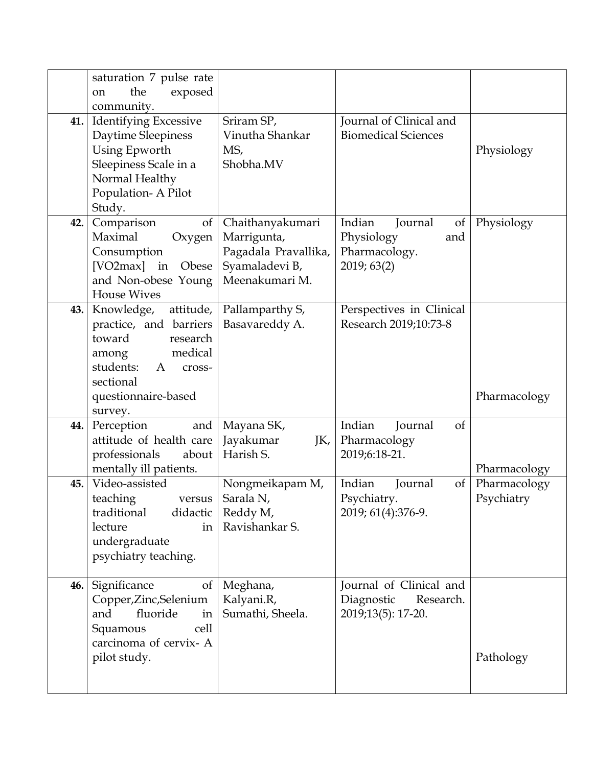|     | saturation 7 pulse rate<br>the<br>exposed<br><sub>on</sub>                                                                                                    |                                                                                             |                                                                              |                            |
|-----|---------------------------------------------------------------------------------------------------------------------------------------------------------------|---------------------------------------------------------------------------------------------|------------------------------------------------------------------------------|----------------------------|
| 41. | community.<br><b>Identifying Excessive</b><br>Daytime Sleepiness<br>Using Epworth<br>Sleepiness Scale in a<br>Normal Healthy<br>Population- A Pilot<br>Study. | Sriram SP,<br>Vinutha Shankar<br>MS,<br>Shobha.MV                                           | Journal of Clinical and<br><b>Biomedical Sciences</b>                        | Physiology                 |
| 42. | Comparison<br><sub>of</sub><br>Maximal<br>Oxygen<br>Consumption<br>[VO2max] in Obese<br>and Non-obese Young<br><b>House Wives</b>                             | Chaithanyakumari<br>Marrigunta,<br>Pagadala Pravallika,<br>Syamaladevi B,<br>Meenakumari M. | Indian<br>Journal<br>of<br>Physiology<br>and<br>Pharmacology.<br>2019; 63(2) | Physiology                 |
| 43. | Knowledge,<br>attitude,<br>practice, and barriers<br>toward<br>research<br>medical<br>among<br>students:<br>A<br>cross-<br>sectional<br>questionnaire-based   | Pallamparthy S,<br>Basavareddy A.                                                           | Perspectives in Clinical<br>Research 2019;10:73-8                            | Pharmacology               |
| 44. | survey.<br>Perception<br>and<br>attitude of health care<br>professionals<br>about<br>mentally ill patients.                                                   | Mayana SK,<br>Jayakumar<br>JK,<br>Harish S.                                                 | Indian<br>Journal<br><sub>of</sub><br>Pharmacology<br>2019;6:18-21.          | Pharmacology               |
| 45. | Video-assisted<br>teaching<br>versus<br>didactic  <br>traditional<br>lecture<br>in<br>undergraduate<br>psychiatry teaching.                                   | Nongmeikapam M,<br>Sarala N,<br>Reddy M,<br>Ravishankar S.                                  | Indian<br>Journal<br>$\sigma f$<br>Psychiatry.<br>2019; 61(4):376-9.         | Pharmacology<br>Psychiatry |
| 46. | Significance<br>of<br>Copper, Zinc, Selenium<br>and<br>fluoride<br>in<br>Squamous<br>cell                                                                     | Meghana,<br>Kalyani.R,<br>Sumathi, Sheela.                                                  | Journal of Clinical and<br>Diagnostic<br>Research.<br>2019;13(5): 17-20.     |                            |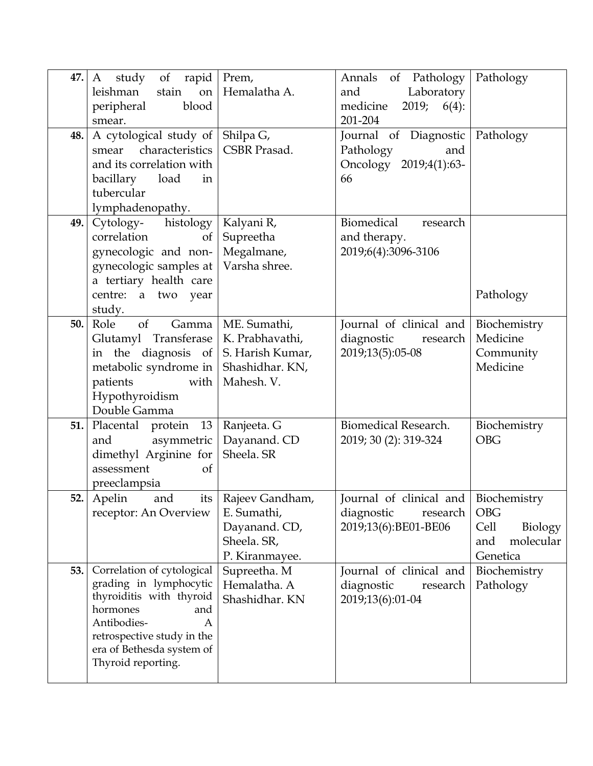| 47. | study of<br>rapid<br>A<br>stain<br>leishman<br>on    | Prem,<br>Hemalatha A.        | of Pathology<br>Annals<br>Laboratory<br>and   | Pathology                           |
|-----|------------------------------------------------------|------------------------------|-----------------------------------------------|-------------------------------------|
|     | peripheral<br>blood                                  |                              | medicine<br>$6(4)$ :<br>2019;                 |                                     |
|     | smear.                                               |                              | 201-204                                       |                                     |
| 48. | A cytological study of $\vert$ Shilpa G,             | CSBR Prasad.                 | Journal of Diagnostic                         | Pathology                           |
|     | characteristics<br>smear<br>and its correlation with |                              | Pathology<br>and<br>Oncology<br>2019;4(1):63- |                                     |
|     | bacillary<br>load<br>in                              |                              | 66                                            |                                     |
|     | tubercular                                           |                              |                                               |                                     |
|     | lymphadenopathy.                                     |                              |                                               |                                     |
| 49. | Cytology-<br>histology<br>correlation<br>of          | Kalyani R,<br>Supreetha      | Biomedical<br>research<br>and therapy.        |                                     |
|     | gynecologic and non-                                 | Megalmane,                   | 2019;6(4):3096-3106                           |                                     |
|     | gynecologic samples at                               | Varsha shree.                |                                               |                                     |
|     | a tertiary health care                               |                              |                                               |                                     |
|     | centre: a two year<br>study.                         |                              |                                               | Pathology                           |
| 50. | Role<br>of<br>Gamma                                  | ME. Sumathi,                 | Journal of clinical and                       | Biochemistry                        |
|     | Glutamyl Transferase                                 | K. Prabhavathi,              | diagnostic<br>research                        | Medicine                            |
|     | in the diagnosis of                                  | S. Harish Kumar,             | 2019;13(5):05-08                              | Community                           |
|     | metabolic syndrome in   Shashidhar. KN,<br>with      | Mahesh. V.                   |                                               | Medicine                            |
|     | patients<br>Hypothyroidism                           |                              |                                               |                                     |
|     | Double Gamma                                         |                              |                                               |                                     |
| 51. | Placental protein<br>13                              | Ranjeeta. G                  | Biomedical Research.                          | Biochemistry                        |
|     | asymmetric<br>and                                    | Dayanand. CD                 | 2019; 30 (2): 319-324                         | <b>OBG</b>                          |
|     | dimethyl Arginine for<br>assessment<br><sub>of</sub> | Sheela. SR                   |                                               |                                     |
|     | preeclampsia                                         |                              |                                               |                                     |
| 52. | Apelin<br>and<br>its l                               | Rajeev Gandham,              | Journal of clinical and Biochemistry          |                                     |
|     | receptor: An Overview                                | E. Sumathi,                  | diagnostic<br>research                        | <b>OBG</b>                          |
|     |                                                      | Dayanand. CD,<br>Sheela. SR, | 2019;13(6):BE01-BE06                          | Cell<br>Biology<br>molecular<br>and |
|     |                                                      | P. Kiranmayee.               |                                               | Genetica                            |
| 53. | Correlation of cytological                           | Supreetha. M                 | Journal of clinical and                       | Biochemistry                        |
|     | grading in lymphocytic<br>thyroiditis with thyroid   | Hemalatha. A                 | diagnostic<br>research                        | Pathology                           |
|     | hormones<br>and                                      | Shashidhar. KN               | 2019;13(6):01-04                              |                                     |
|     | Antibodies-<br>A                                     |                              |                                               |                                     |
|     | retrospective study in the                           |                              |                                               |                                     |
|     | era of Bethesda system of<br>Thyroid reporting.      |                              |                                               |                                     |
|     |                                                      |                              |                                               |                                     |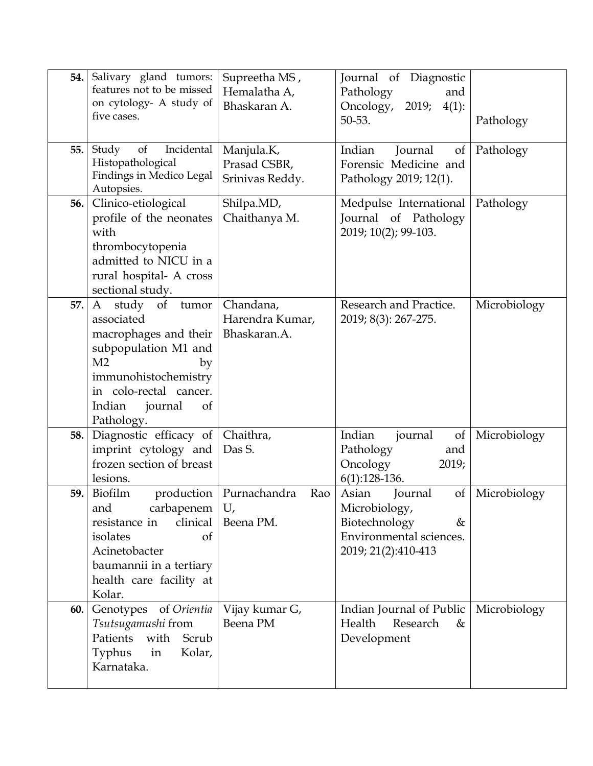| 54. | Salivary gland tumors:<br>features not to be missed<br>on cytology- A study of<br>five cases.                                                                                                            | Supreetha MS,<br>Hemalatha A,<br>Bhaskaran A. | Journal of Diagnostic<br>Pathology<br>and<br>Oncology,<br>2019;<br>$4(1)$ :<br>50-53.                           | Pathology    |
|-----|----------------------------------------------------------------------------------------------------------------------------------------------------------------------------------------------------------|-----------------------------------------------|-----------------------------------------------------------------------------------------------------------------|--------------|
| 55. | Incidental<br>Study<br>of<br>Histopathological<br>Findings in Medico Legal<br>Autopsies.                                                                                                                 | Manjula.K,<br>Prasad CSBR,<br>Srinivas Reddy. | Indian<br>Journal<br>of<br>Forensic Medicine and<br>Pathology 2019; 12(1).                                      | Pathology    |
| 56. | Clinico-etiological<br>profile of the neonates<br>with<br>thrombocytopenia<br>admitted to NICU in a<br>rural hospital- A cross<br>sectional study.                                                       | Shilpa.MD,<br>Chaithanya M.                   | Medpulse International<br>Journal of Pathology<br>2019; 10(2); 99-103.                                          | Pathology    |
| 57. | of tumor<br>A<br>study<br>associated<br>macrophages and their<br>subpopulation M1 and<br>M <sub>2</sub><br>by<br>immunohistochemistry<br>in colo-rectal cancer.<br>Indian<br>journal<br>of<br>Pathology. | Chandana,<br>Harendra Kumar,<br>Bhaskaran.A.  | Research and Practice.<br>2019; 8(3): 267-275.                                                                  | Microbiology |
| 58. | Diagnostic efficacy of<br>imprint cytology and<br>frozen section of breast<br>lesions.                                                                                                                   | Chaithra,<br>Das S.                           | Indian<br>journal<br>of<br>Pathology<br>and<br>Oncology<br>2019;<br>$6(1):128-136.$                             | Microbiology |
| 59. | Biofilm<br>production<br>carbapenem<br>and<br>clinical<br>resistance in<br>isolates<br><sub>of</sub><br>Acinetobacter<br>baumannii in a tertiary<br>health care facility at<br>Kolar.                    | Purnachandra<br>Rao<br>U,<br>Beena PM.        | Asian<br>Journal<br>of<br>Microbiology,<br>Biotechnology<br>&<br>Environmental sciences.<br>2019; 21(2):410-413 | Microbiology |
| 60. | of Orientia<br>Genotypes<br>Tsutsugamushi from<br>Patients<br>Scrub<br>with<br>in<br>Kolar,<br>Typhus<br>Karnataka.                                                                                      | Vijay kumar G,<br>Beena PM                    | Indian Journal of Public<br>Health<br>Research<br>&<br>Development                                              | Microbiology |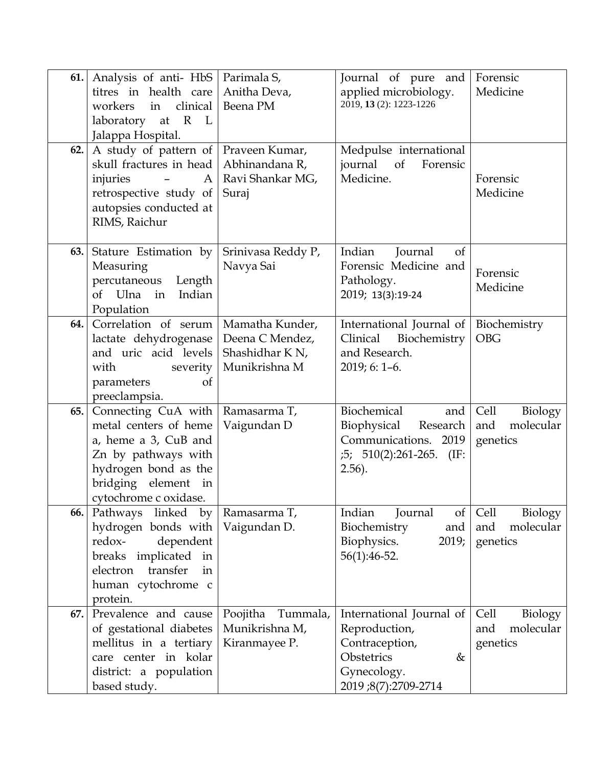| 61.  | Analysis of anti-HbS   Parimala S,<br>titres in health care<br>clinical<br>workers<br>in<br>laboratory at R L<br>Jalappa Hospital.                                                               | Anitha Deva,<br>Beena PM                                                           | Journal of pure and<br>applied microbiology.<br>2019, 13 (2): 1223-1226                                              | Forensic<br>Medicine                            |
|------|--------------------------------------------------------------------------------------------------------------------------------------------------------------------------------------------------|------------------------------------------------------------------------------------|----------------------------------------------------------------------------------------------------------------------|-------------------------------------------------|
| 62.  | A study of pattern of   Praveen Kumar,<br>skull fractures in head<br>injuries<br>A <sub>1</sub><br>$\overline{\phantom{m}}$<br>retrospective study of<br>autopsies conducted at<br>RIMS, Raichur | Abhinandana R,<br>Ravi Shankar MG,<br>Suraj                                        | Medpulse international<br>journal<br>of<br>Forensic<br>Medicine.                                                     | Forensic<br>Medicine                            |
| 63.1 | Stature Estimation by<br>Measuring<br>percutaneous<br>Length<br>of Ulna in<br>Indian<br>Population                                                                                               | Srinivasa Reddy P,<br>Navya Sai                                                    | Indian<br>Journal<br>of<br>Forensic Medicine and<br>Pathology.<br>2019; 13(3):19-24                                  | Forensic<br>Medicine                            |
| 64.  | Correlation of serum<br>lactate dehydrogenase<br>and uric acid levels<br>with<br>severity<br>parameters<br>of<br>preeclampsia.                                                                   | Mamatha Kunder,<br>Deena C Mendez,<br>Shashidhar K <sub>N</sub> ,<br>Munikrishna M | International Journal of<br>Clinical Biochemistry<br>and Research.<br>2019; 6: 1-6.                                  | Biochemistry<br><b>OBG</b>                      |
| 65.  | Connecting CuA with<br>metal centers of heme<br>a, heme a 3, CuB and<br>Zn by pathways with<br>hydrogen bond as the<br>bridging element in<br>cytochrome c oxidase.                              | Ramasarma T,<br>Vaigundan D                                                        | Biochemical<br>and<br>Biophysical<br>Research<br>Communications. 2019<br>$:5; 510(2):261-265.$ (IF:<br>$2.56$ ).     | Cell<br>Biology<br>molecular<br>and<br>genetics |
| 66.  | Pathways linked by<br>hydrogen bonds with<br>redox-<br>dependent<br>breaks implicated in<br>transfer<br>electron<br>in<br>human cytochrome c<br>protein.                                         | Ramasarma T,<br>Vaigundan D.                                                       | Indian<br>$\sigma f$<br>Journal<br>Biochemistry<br>and<br>Biophysics.<br>2019;<br>56(1):46-52.                       | Cell<br>Biology<br>and<br>molecular<br>genetics |
| 67.  | Prevalence and cause<br>of gestational diabetes<br>mellitus in a tertiary<br>care center in kolar<br>district: a population<br>based study.                                                      | Poojitha<br>Tummala,<br>Munikrishna M,<br>Kiranmayee P.                            | International Journal of<br>Reproduction,<br>Contraception,<br>Obstetrics<br>&<br>Gynecology.<br>2019;8(7):2709-2714 | Cell<br>Biology<br>molecular<br>and<br>genetics |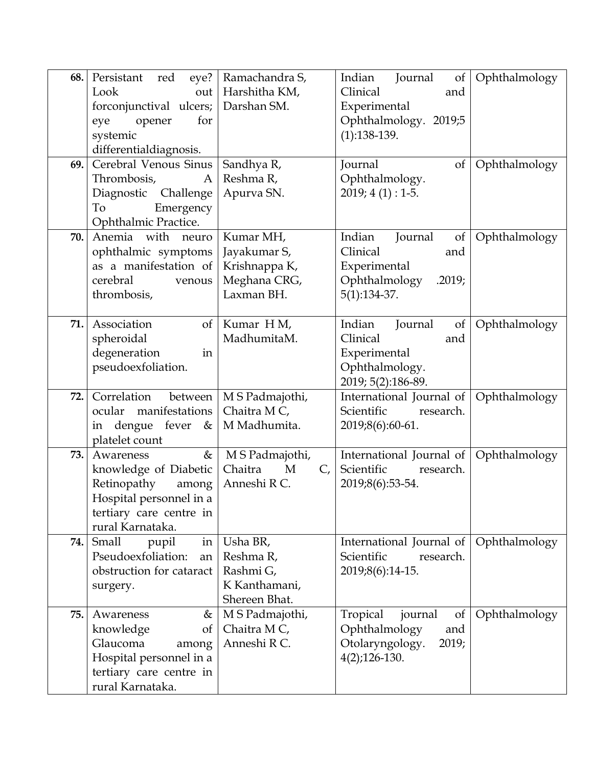| 68. | Persistant<br>red<br>eye?<br>Look<br>out<br>forconjunctival ulcers;<br>for<br>eye<br>opener<br>systemic<br>differentialdiagnosis.         | Ramachandra S,<br>Harshitha KM,<br>Darshan SM.                           | Indian<br>Journal<br>of<br>Clinical<br>and<br>Experimental<br>Ophthalmology. 2019;5<br>$(1):138-139.$   | Ophthalmology |
|-----|-------------------------------------------------------------------------------------------------------------------------------------------|--------------------------------------------------------------------------|---------------------------------------------------------------------------------------------------------|---------------|
| 69. | Cerebral Venous Sinus<br>Thrombosis,<br>A<br>Diagnostic Challenge<br>To<br>Emergency<br>Ophthalmic Practice.                              | Sandhya R,<br>Reshma R,<br>Apurva SN.                                    | Journal<br>of<br>Ophthalmology.<br>$2019; 4(1): 1-5.$                                                   | Ophthalmology |
| 70. | Anemia with neuro<br>ophthalmic symptoms<br>as a manifestation of<br>cerebral<br>venous<br>thrombosis,                                    | Kumar MH,<br>Jayakumar S,<br>Krishnappa K,<br>Meghana CRG,<br>Laxman BH. | Indian<br>Journal<br>of<br>Clinical<br>and<br>Experimental<br>Ophthalmology<br>.2019;<br>$5(1):134-37.$ | Ophthalmology |
| 71. | Association<br>of<br>spheroidal<br>degeneration<br>in<br>pseudoexfoliation.                                                               | Kumar HM,<br>MadhumitaM.                                                 | Indian<br>Journal<br>of<br>Clinical<br>and<br>Experimental<br>Ophthalmology.<br>2019; 5(2):186-89.      | Ophthalmology |
| 72. | Correlation<br>between  <br>ocular<br>manifestations<br>in dengue fever<br>$\&$  <br>platelet count                                       | M S Padmajothi,<br>Chaitra M C,<br>M Madhumita.                          | International Journal of<br>Scientific<br>research.<br>2019;8(6):60-61.                                 | Ophthalmology |
| 73. | &<br>Awareness<br>knowledge of Diabetic<br>Retinopathy<br>among<br>Hospital personnel in a<br>tertiary care centre in<br>rural Karnataka. | M S Padmajothi,<br>Chaitra<br>M<br>$C_{I}$<br>Anneshi R C.               | International Journal of<br>Scientific<br>research.<br>2019;8(6):53-54.                                 | Ophthalmology |
| 74. | Small<br>pupil<br>in <sub>1</sub><br>Pseudoexfoliation:<br>an<br>obstruction for cataract<br>surgery.                                     | Usha BR,<br>Reshma R,<br>Rashmi G,<br>K Kanthamani,<br>Shereen Bhat.     | International Journal of<br>Scientific<br>research.<br>2019;8(6):14-15.                                 | Ophthalmology |
| 75. | Awareness<br>&<br>knowledge<br>of<br>Glaucoma<br>among<br>Hospital personnel in a<br>tertiary care centre in<br>rural Karnataka.          | M S Padmajothi,<br>Chaitra M C,<br>Anneshi R C.                          | Tropical<br>journal<br>of<br>Ophthalmology<br>and<br>Otolaryngology.<br>2019;<br>$4(2)$ ; 126-130.      | Ophthalmology |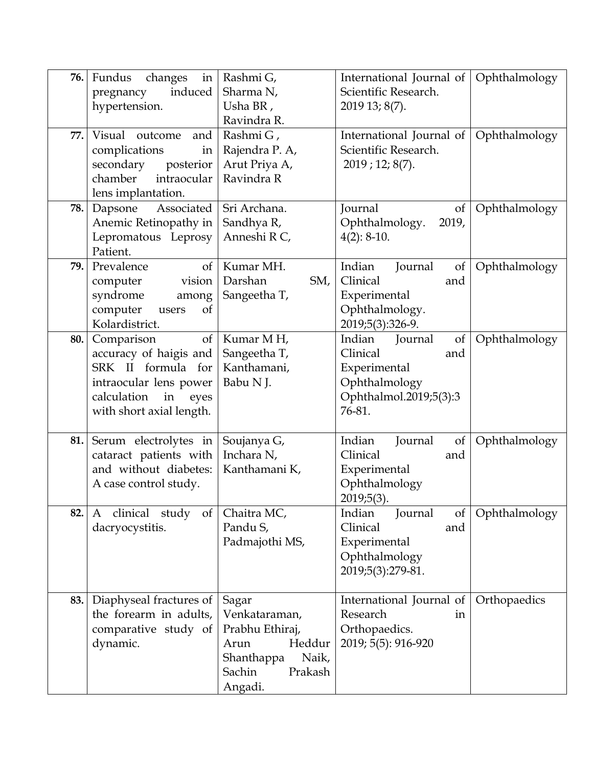| 76. | Fundus<br>changes<br>in<br>induced<br>pregnancy<br>hypertension.                                                                                    | Rashmi G,<br>Sharma N,<br>Usha BR,<br>Ravindra R.                                                                  | International Journal of<br>Scientific Research.<br>2019 13; 8(7).                                              | Ophthalmology |
|-----|-----------------------------------------------------------------------------------------------------------------------------------------------------|--------------------------------------------------------------------------------------------------------------------|-----------------------------------------------------------------------------------------------------------------|---------------|
| 77. | Visual outcome<br>and<br>complications<br>in<br>secondary<br>posterior<br>chamber<br>intraocular<br>lens implantation.                              | Rashmi G,<br>Rajendra P. A,<br>Arut Priya A,<br>Ravindra R                                                         | International Journal of<br>Scientific Research.<br>$2019$ ; 12; 8(7).                                          | Ophthalmology |
| 78. | Dapsone<br>Associated<br>Anemic Retinopathy in<br>Lepromatous Leprosy<br>Patient.                                                                   | Sri Archana.<br>Sandhya R,<br>Anneshi R C,                                                                         | Journal<br>of<br>Ophthalmology.<br>2019,<br>$4(2): 8-10.$                                                       | Ophthalmology |
| 79. | Prevalence<br>of<br>computer<br>vision<br>syndrome<br>among<br>computer<br>of<br>users<br>Kolardistrict.                                            | Kumar MH.<br>Darshan<br>SM,<br>Sangeetha T,                                                                        | Indian<br>Journal<br>of<br>Clinical<br>and<br>Experimental<br>Ophthalmology.<br>2019;5(3):326-9.                | Ophthalmology |
| 80. | Comparison<br>of<br>accuracy of haigis and<br>SRK II formula for<br>intraocular lens power<br>calculation<br>in<br>eyes<br>with short axial length. | Kumar MH,<br>Sangeetha T,<br>Kanthamani,<br>Babu N J.                                                              | Indian<br>Journal<br>of<br>Clinical<br>and<br>Experimental<br>Ophthalmology<br>Ophthalmol.2019;5(3):3<br>76-81. | Ophthalmology |
| 81. | Serum electrolytes in<br>cataract patients with<br>and without diabetes:<br>A case control study.                                                   | Soujanya G,<br>Inchara N,<br>Kanthamani K,                                                                         | Indian<br>Journal<br>of<br>Clinical<br>and<br>Experimental<br>Ophthalmology<br>$2019;5(3)$ .                    | Ophthalmology |
| 82. | clinical study<br>$\sigma f$<br>A<br>dacryocystitis.                                                                                                | Chaitra MC,<br>Pandu S,<br>Padmajothi MS,                                                                          | Indian<br>Journal<br>of<br>Clinical<br>and<br>Experimental<br>Ophthalmology<br>2019;5(3):279-81.                | Ophthalmology |
| 83. | Diaphyseal fractures of<br>the forearm in adults,<br>comparative study of<br>dynamic.                                                               | Sagar<br>Venkataraman,<br>Prabhu Ethiraj,<br>Heddur<br>Arun<br>Shanthappa<br>Naik,<br>Sachin<br>Prakash<br>Angadi. | International Journal of<br>Research<br>in<br>Orthopaedics.<br>2019; 5(5): 916-920                              | Orthopaedics  |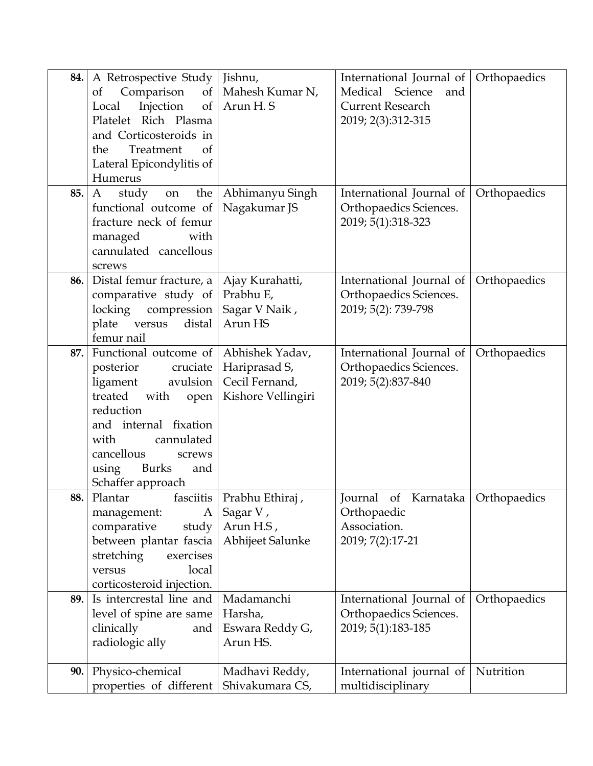| 84. | A Retrospective Study<br>Comparison<br><sub>of</sub><br>$\sigma f$<br>Injection<br>Local<br>$\sigma$<br>Platelet Rich Plasma<br>and Corticosteroids in<br>Treatment<br>the<br><sub>of</sub><br>Lateral Epicondylitis of<br>Humerus         | Jishnu,<br>Mahesh Kumar N,<br>Arun H.S                                   | International Journal of<br>Medical<br>Science<br>and<br><b>Current Research</b><br>2019; 2(3):312-315 | Orthopaedics |
|-----|--------------------------------------------------------------------------------------------------------------------------------------------------------------------------------------------------------------------------------------------|--------------------------------------------------------------------------|--------------------------------------------------------------------------------------------------------|--------------|
| 85. | the<br>A<br>study<br>on<br>functional outcome of<br>fracture neck of femur<br>managed<br>with<br>cannulated cancellous<br>screws                                                                                                           | Abhimanyu Singh<br>Nagakumar JS                                          | International Journal of<br>Orthopaedics Sciences.<br>2019; 5(1):318-323                               | Orthopaedics |
| 86. | Distal femur fracture, a<br>comparative study of<br>locking<br>compression<br>plate<br>versus<br>distal<br>femur nail                                                                                                                      | Ajay Kurahatti,<br>Prabhu E,<br>Sagar V Naik,<br>Arun HS                 | International Journal of<br>Orthopaedics Sciences.<br>2019; 5(2): 739-798                              | Orthopaedics |
| 87. | Functional outcome of<br>posterior<br>cruciate<br>ligament<br>avulsion<br>treated<br>with<br>open<br>reduction<br>and internal fixation<br>cannulated<br>with<br>cancellous<br>screws<br><b>Burks</b><br>using<br>and<br>Schaffer approach | Abhishek Yadav,<br>Hariprasad S,<br>Cecil Fernand,<br>Kishore Vellingiri | International Journal of<br>Orthopaedics Sciences.<br>2019; 5(2):837-840                               | Orthopaedics |
| 88. | Plantar<br>management:<br>A<br>comparative<br>study<br>between plantar fascia<br>stretching<br>exercises<br>local<br>versus<br>corticosteroid injection.                                                                                   | fasciitis   Prabhu Ethiraj,<br>Sagar V,<br>Arun H.S,<br>Abhijeet Salunke | of Karnataka   Orthopaedics<br>Journal<br>Orthopaedic<br>Association.<br>2019; 7(2):17-21              |              |
| 89. | Is intercrestal line and<br>level of spine are same<br>clinically<br>and<br>radiologic ally                                                                                                                                                | Madamanchi<br>Harsha,<br>Eswara Reddy G,<br>Arun HS.                     | International Journal of<br>Orthopaedics Sciences.<br>2019; 5(1):183-185                               | Orthopaedics |
| 90. | Physico-chemical<br>properties of different                                                                                                                                                                                                | Madhavi Reddy,<br>Shivakumara CS,                                        | International journal of<br>multidisciplinary                                                          | Nutrition    |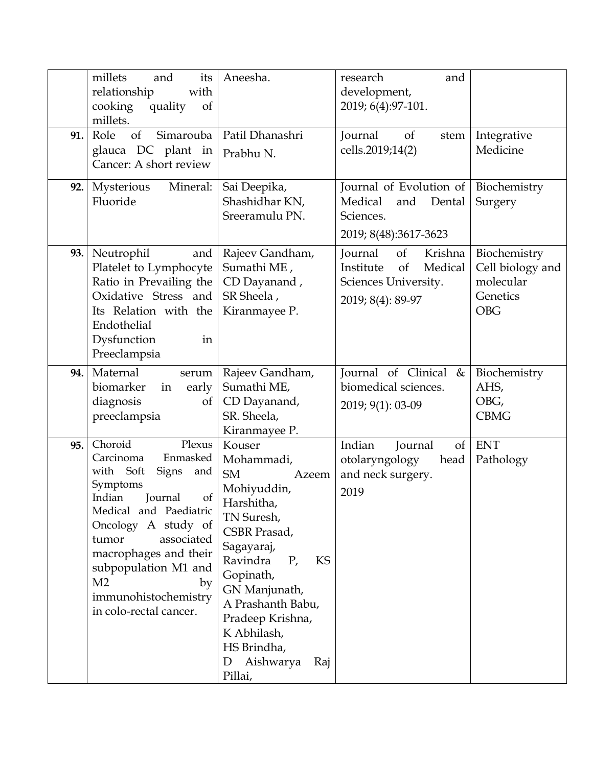|     | millets<br>and<br>its<br>relationship<br>with<br>quality<br>cooking<br>of<br>millets.                                                                                                                                                                                                                                    | Aneesha.                                                                                                                                                                                                                                                                                       | research<br>and<br>development,<br>2019; 6(4):97-101.                                                          |                                                                         |
|-----|--------------------------------------------------------------------------------------------------------------------------------------------------------------------------------------------------------------------------------------------------------------------------------------------------------------------------|------------------------------------------------------------------------------------------------------------------------------------------------------------------------------------------------------------------------------------------------------------------------------------------------|----------------------------------------------------------------------------------------------------------------|-------------------------------------------------------------------------|
| 91. | of<br>Role<br>Simarouba<br>glauca DC plant in<br>Cancer: A short review                                                                                                                                                                                                                                                  | Patil Dhanashri<br>Prabhu <sub>N.</sub>                                                                                                                                                                                                                                                        | Journal<br><sub>of</sub><br>stem<br>cells.2019;14(2)                                                           | Integrative<br>Medicine                                                 |
| 92. | Mineral:<br>Mysterious<br>Fluoride                                                                                                                                                                                                                                                                                       | Sai Deepika,<br>Shashidhar KN,<br>Sreeramulu PN.                                                                                                                                                                                                                                               | Journal of Evolution of<br>Medical<br>Dental<br>and<br>Sciences.<br>2019; 8(48):3617-3623                      | Biochemistry<br>Surgery                                                 |
| 93. | Neutrophil<br>and<br>Platelet to Lymphocyte<br>Ratio in Prevailing the<br>Oxidative Stress and<br>Its Relation with the<br>Endothelial<br>Dysfunction<br>in<br>Preeclampsia                                                                                                                                              | Rajeev Gandham,<br>Sumathi ME,<br>CD Dayanand,<br>SR Sheela,<br>Kiranmayee P.                                                                                                                                                                                                                  | Journal<br>of<br>Krishna<br>Medical<br>Institute<br><sub>of</sub><br>Sciences University.<br>2019; 8(4): 89-97 | Biochemistry<br>Cell biology and<br>molecular<br>Genetics<br><b>OBG</b> |
| 94. | Maternal<br>serum<br>biomarker<br>early<br>in<br>diagnosis<br>of<br>preeclampsia                                                                                                                                                                                                                                         | Rajeev Gandham,<br>Sumathi ME,<br>CD Dayanand,<br>SR. Sheela,<br>Kiranmayee P.                                                                                                                                                                                                                 | Journal of Clinical<br>&<br>biomedical sciences.<br>2019; 9(1): 03-09                                          | Biochemistry<br>AHS,<br>OBG,<br><b>CBMG</b>                             |
| 95. | Choroid<br>Plexus<br>Carcinoma<br>Enmasked<br>with Soft<br><b>Signs</b><br>and<br>Symptoms<br>Indian<br>of<br>Journal<br>Medical and Paediatric<br>Oncology A study of<br>tumor<br>associated<br>macrophages and their<br>subpopulation M1 and<br>M <sub>2</sub><br>by<br>immunohistochemistry<br>in colo-rectal cancer. | Kouser<br>Mohammadi,<br><b>SM</b><br>Azeem<br>Mohiyuddin,<br>Harshitha,<br>TN Suresh,<br>CSBR Prasad,<br>Sagayaraj,<br>KS<br>Ravindra<br>$P_{\prime}$<br>Gopinath,<br>GN Manjunath,<br>A Prashanth Babu,<br>Pradeep Krishna,<br>K Abhilash,<br>HS Brindha,<br>Aishwarya<br>Raj<br>D<br>Pillai, | Indian<br>Journal<br>of<br>otolaryngology<br>head<br>and neck surgery.<br>2019                                 | <b>ENT</b><br>Pathology                                                 |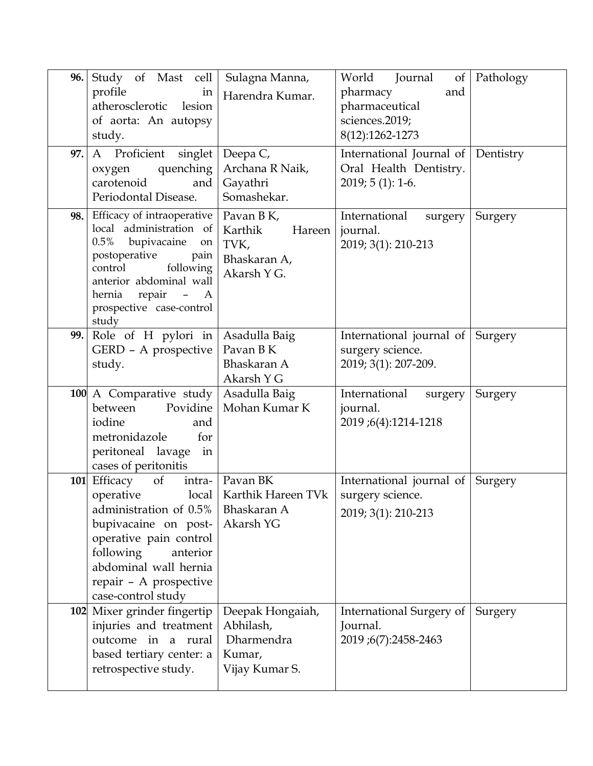| 96.<br>97. | Study of Mast cell<br>profile<br>in<br>atherosclerotic<br>lesion<br>of aorta: An autopsy<br>study.<br>A Proficient<br>singlet<br>quenching<br>oxygen<br>carotenoid<br>and<br>Periodontal Disease.                                | Sulagna Manna,<br>Harendra Kumar.<br>Deepa C,<br>Archana R Naik,<br>Gayathri<br>Somashekar. | Journal<br>World<br>of <sub>1</sub><br>pharmacy<br>and<br>pharmaceutical<br>sciences.2019;<br>8(12):1262-1273<br>International Journal of<br>Oral Health Dentistry.<br>$2019; 5(1): 1-6.$ | Pathology<br>Dentistry |
|------------|----------------------------------------------------------------------------------------------------------------------------------------------------------------------------------------------------------------------------------|---------------------------------------------------------------------------------------------|-------------------------------------------------------------------------------------------------------------------------------------------------------------------------------------------|------------------------|
| 98.        | Efficacy of intraoperative<br>local administration of<br>0.5%<br>bupivacaine<br>on<br>postoperative<br>pain<br>following<br>control<br>anterior abdominal wall<br>repair<br>hernia<br>$- A$<br>prospective case-control<br>study | Pavan B K,<br>Karthik<br>Hareen<br>TVK,<br>Bhaskaran A,<br>Akarsh Y G.                      | International<br>surgery<br>journal.<br>2019; 3(1): 210-213                                                                                                                               | Surgery                |
| 99.        | Role of H pylori in<br>GERD - A prospective<br>study.                                                                                                                                                                            | Asadulla Baig<br>Pavan B K<br>Bhaskaran A<br>Akarsh Y G                                     | International journal of<br>surgery science.<br>2019; 3(1): 207-209.                                                                                                                      | Surgery                |
|            | 100 A Comparative study<br>Povidine<br>between<br>iodine<br>and<br>metronidazole<br>for<br>peritoneal lavage<br>in<br>cases of peritonitis                                                                                       | Asadulla Baig<br>Mohan Kumar K                                                              | International<br>surgery<br>journal.<br>2019;6(4):1214-1218                                                                                                                               | Surgery                |
| 101        | Efficacy<br>of<br>operative<br>administration of 0.5%<br>bupivacaine on post-<br>operative pain control<br>following<br>anterior<br>abdominal wall hernia<br>repair - A prospective<br>case-control study                        | intra-   Pavan BK<br>local   Karthik Hareen TVk<br>Bhaskaran A<br>Akarsh YG                 | International journal of<br>surgery science.<br>2019; 3(1): 210-213                                                                                                                       | Surgery                |
|            | 102 Mixer grinder fingertip<br>injuries and treatment<br>outcome in a rural<br>based tertiary center: a<br>retrospective study.                                                                                                  | Deepak Hongaiah,<br>Abhilash,<br>Dharmendra<br>Kumar,<br>Vijay Kumar S.                     | International Surgery of<br>Journal.<br>2019;6(7):2458-2463                                                                                                                               | Surgery                |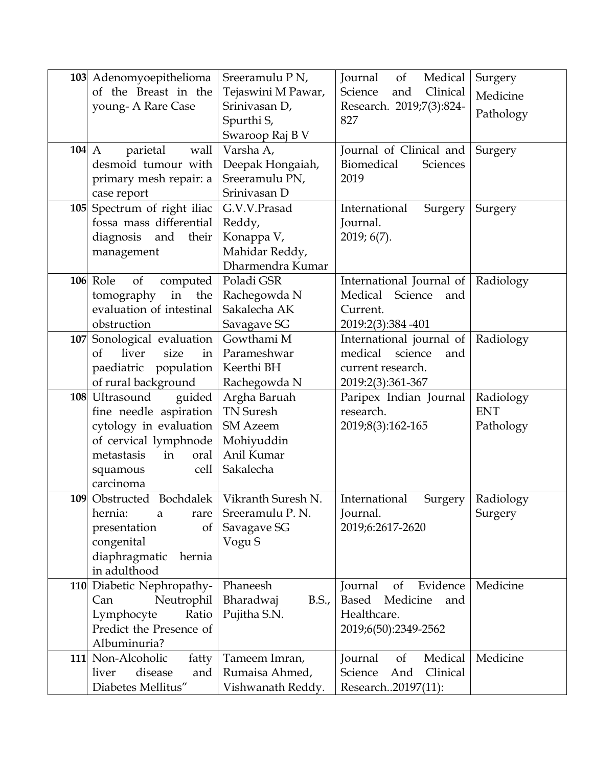|       | 103 Adenomyoepithelioma                        | Sreeramulu P N,                 | Journal<br>of<br>Medical                    | Surgery             |
|-------|------------------------------------------------|---------------------------------|---------------------------------------------|---------------------|
|       | of the Breast in the                           | Tejaswini M Pawar,              | Clinical<br>Science<br>and                  | Medicine            |
|       | young-A Rare Case                              | Srinivasan D,                   | Research. 2019;7(3):824-                    |                     |
|       |                                                | Spurthi S,                      | 827                                         | Pathology           |
|       |                                                | Swaroop Raj B V                 |                                             |                     |
| 104 A | parietal<br>wall                               | Varsha A,                       | Journal of Clinical and                     | Surgery             |
|       | desmoid tumour with                            | Deepak Hongaiah,                | Biomedical<br>Sciences                      |                     |
|       | primary mesh repair: a                         | Sreeramulu PN,                  | 2019                                        |                     |
|       | case report                                    | Srinivasan D                    |                                             |                     |
|       | 105 Spectrum of right iliac                    | G.V.V.Prasad                    | International<br>Surgery                    | Surgery             |
|       | fossa mass differential                        | Reddy,                          | Journal.                                    |                     |
|       | their<br>diagnosis<br>and                      | Konappa V,                      | 2019; 6(7).                                 |                     |
|       | management                                     | Mahidar Reddy,                  |                                             |                     |
|       |                                                | Dharmendra Kumar                |                                             |                     |
|       | 106 Role<br>of<br>computed                     | Poladi GSR                      | International Journal of   Radiology        |                     |
|       | in<br>the<br>tomography                        | Rachegowda N                    | Medical Science<br>and                      |                     |
|       | evaluation of intestinal                       | Sakalecha AK                    | Current.                                    |                     |
|       | obstruction                                    | Savagave SG                     | 2019:2(3):384 - 401                         |                     |
| 107   | Sonological evaluation                         | Gowthami M                      | International journal of                    | Radiology           |
|       | liver<br>size<br>in<br>of                      | Parameshwar                     | medical science<br>and                      |                     |
|       | paediatric population                          | Keerthi BH                      | current research.                           |                     |
|       | of rural background                            | Rachegowda N                    | 2019:2(3):361-367                           |                     |
|       | 108 Ultrasound<br>guided                       | Argha Baruah                    | Paripex Indian Journal                      | Radiology           |
|       | fine needle aspiration                         | <b>TN Suresh</b>                | research.                                   | <b>ENT</b>          |
|       | cytology in evaluation                         | <b>SM</b> Azeem                 | 2019;8(3):162-165                           | Pathology           |
|       | of cervical lymphnode                          | Mohiyuddin                      |                                             |                     |
|       | metastasis<br>oral<br>in                       | Anil Kumar                      |                                             |                     |
|       | cell<br>squamous                               | Sakalecha                       |                                             |                     |
|       | carcinoma                                      |                                 |                                             |                     |
|       | 109 Obstructed Bochdalek   Vikranth Suresh N   |                                 | International                               | Surgery   Radiology |
|       | hernia:<br>a<br>rare                           | Sreeramulu P.N.                 | Journal.                                    | Surgery             |
|       | presentation<br>of                             | Savagave SG                     | 2019;6:2617-2620                            |                     |
|       | congenital                                     | Vogu S                          |                                             |                     |
|       | diaphragmatic<br>hernia                        |                                 |                                             |                     |
|       | in adulthood                                   |                                 |                                             |                     |
|       | 110 Diabetic Nephropathy-                      | Phaneesh                        | of<br>Evidence<br>Journal<br>Based Medicine | Medicine            |
|       | Neutrophil<br>Can                              | Bharadwaj<br>B.S.,              | and                                         |                     |
|       | Ratio<br>Lymphocyte                            | Pujitha S.N.                    | Healthcare.                                 |                     |
|       | Predict the Presence of                        |                                 | 2019;6(50):2349-2562                        |                     |
|       | Albuminuria?                                   |                                 | Medical                                     | Medicine            |
|       | 111 Non-Alcoholic<br>fatty<br>disease<br>liver | Tameem Imran,<br>Rumaisa Ahmed, | Journal<br>of<br>Science<br>Clinical<br>And |                     |
|       | and                                            |                                 |                                             |                     |
|       | Diabetes Mellitus"                             | Vishwanath Reddy.               | Research20197(11):                          |                     |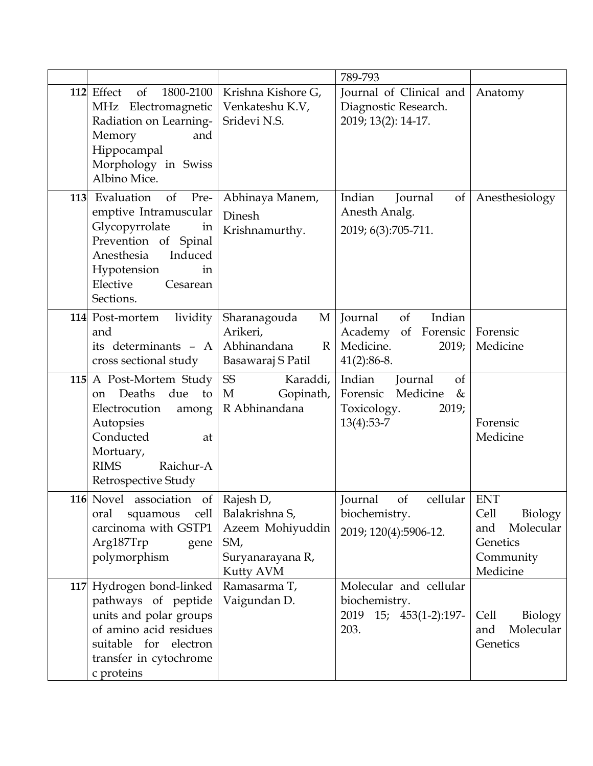|     |                                                                                                                                                                                           |                                                                                   | 789-793                                                                                      |                                                                          |
|-----|-------------------------------------------------------------------------------------------------------------------------------------------------------------------------------------------|-----------------------------------------------------------------------------------|----------------------------------------------------------------------------------------------|--------------------------------------------------------------------------|
|     | 112 Effect<br>of<br>1800-2100<br>MHz Electromagnetic<br>Radiation on Learning-<br>Memory<br>and<br>Hippocampal<br>Morphology in Swiss<br>Albino Mice.                                     | Krishna Kishore G,<br>Venkateshu K.V,<br>Sridevi N.S.                             | Journal of Clinical and<br>Diagnostic Research.<br>2019; 13(2): 14-17.                       | Anatomy                                                                  |
| 113 | Evaluation<br>of<br>Pre-<br>emptive Intramuscular<br>Glycopyrrolate<br>in<br>Prevention of Spinal<br>Anesthesia<br>Induced<br>Hypotension<br>in<br>Elective<br>Cesarean<br>Sections.      | Abhinaya Manem,<br>Dinesh<br>Krishnamurthy.                                       | Indian<br>Journal<br>$\sigma$<br>Anesth Analg.<br>2019; 6(3):705-711.                        | Anesthesiology                                                           |
|     | lividity<br>114 Post-mortem<br>and<br>its determinants - A<br>cross sectional study                                                                                                       | Sharanagouda<br>M<br>Arikeri,<br>Abhinandana<br>$\mathbb{R}$<br>Basawaraj S Patil | Indian<br>of<br>Journal<br>Academy<br>of<br>Forensic<br>Medicine.<br>2019;<br>$41(2):86-8.$  | Forensic<br>Medicine                                                     |
|     | 115 A Post-Mortem Study<br>Deaths<br>due<br>to<br><sub>on</sub><br>Electrocution<br>among<br>Autopsies<br>Conducted<br>at<br>Mortuary,<br>Raichur-A<br><b>RIMS</b><br>Retrospective Study | <b>SS</b><br>Karaddi,<br>M<br>Gopinath,<br>R Abhinandana                          | Indian<br>of<br>Journal<br>Medicine<br>Forensic<br>&<br>Toxicology.<br>2019;<br>$13(4):53-7$ | Forensic<br>Medicine                                                     |
|     | 116 Novel association of Rajesh D,<br>squamous cell<br>oral<br>carcinoma with GSTP1<br>Arg187Trp<br>gene<br>polymorphism                                                                  | Balakrishna S,<br>Azeem Mohiyuddin<br>SM,<br>Suryanarayana R,<br>Kutty AVM        | <sub>of</sub><br>cellular   ENT<br>Journal<br>biochemistry.<br>2019; 120(4):5906-12.         | Cell<br>Biology<br>Molecular<br>and<br>Genetics<br>Community<br>Medicine |
|     | 117 Hydrogen bond-linked<br>pathways of peptide<br>units and polar groups<br>of amino acid residues<br>for electron<br>suitable<br>transfer in cytochrome<br>c proteins                   | Ramasarma T,<br>Vaigundan D.                                                      | Molecular and cellular<br>biochemistry.<br>2019 15; 453(1-2):197-<br>203.                    | Biology<br>Cell<br>Molecular<br>and<br>Genetics                          |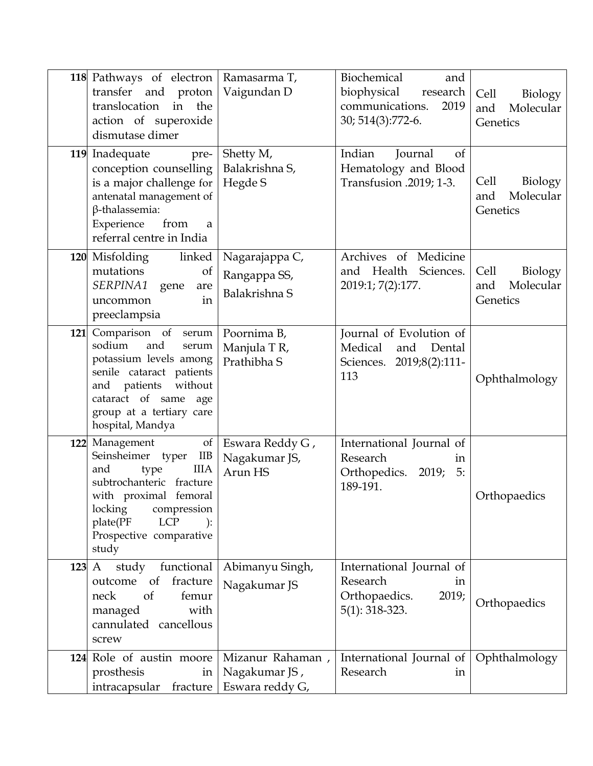|     | 118 Pathways of electron   Ramasarma T,<br>transfer and proton<br>translocation<br>in<br>the<br>action of superoxide<br>dismutase dimer                                                                                       | Vaigundan D                                          | Biochemical<br>and<br>biophysical<br>research<br>communications.<br>2019<br>30; 514(3):772-6. | Cell<br>Biology<br>Molecular<br>and<br>Genetics |
|-----|-------------------------------------------------------------------------------------------------------------------------------------------------------------------------------------------------------------------------------|------------------------------------------------------|-----------------------------------------------------------------------------------------------|-------------------------------------------------|
|     | 119 Inadequate<br>pre-<br>conception counselling<br>is a major challenge for<br>antenatal management of<br>$\beta$ -thalassemia:<br>from<br>Experience<br>a<br>referral centre in India                                       | Shetty M,<br>Balakrishna S,<br>Hegde S               | Indian<br><sub>of</sub><br>Journal<br>Hematology and Blood<br>Transfusion .2019; 1-3.         | Cell<br>Biology<br>Molecular<br>and<br>Genetics |
|     | linked<br>120 Misfolding<br>mutations<br>of<br><i>SERPINA1</i><br>gene<br>are<br>in<br>uncommon<br>preeclampsia                                                                                                               | Nagarajappa C,<br>Rangappa SS,<br>Balakrishna S      | Archives of Medicine<br>and Health<br>Sciences.<br>2019:1; 7(2):177.                          | Cell<br>Biology<br>Molecular<br>and<br>Genetics |
| 121 | Comparison of<br>serum<br>sodium<br>and<br>serum<br>potassium levels among<br>senile cataract patients<br>and patients without<br>cataract of same<br>age<br>group at a tertiary care<br>hospital, Mandya                     | Poornima B,<br>Manjula TR,<br>Prathibha S            | Journal of Evolution of<br>Medical<br>Dental<br>and<br>Sciences. 2019;8(2):111-<br>113        | Ophthalmology                                   |
| 122 | Management<br>of<br>Seinsheimer typer<br>IIB<br><b>IIIA</b><br>and<br>type<br>subtrochanteric fracture<br>with proximal femoral<br>locking<br>compression<br>plate(PF<br><b>LCP</b><br>):<br>Prospective comparative<br>study | Eswara Reddy G,<br>Nagakumar JS,<br>Arun HS          | International Journal of<br>Research<br>in<br>Orthopedics. 2019; 5:<br>189-191.               | Orthopaedics                                    |
| 123 | $\mathbf{A}$<br>study functional<br>of fracture<br>outcome<br><sub>of</sub><br>femur<br>neck<br>with<br>managed<br>cannulated cancellous<br>screw                                                                             | Abimanyu Singh,<br>Nagakumar JS                      | International Journal of<br>Research<br>in<br>Orthopaedics.<br>2019;<br>$5(1)$ : 318-323.     | Orthopaedics                                    |
|     | 124 Role of austin moore<br>prosthesis<br>in<br>intracapsular fracture                                                                                                                                                        | Mizanur Rahaman,<br>Nagakumar JS,<br>Eswara reddy G, | International Journal of<br>Research<br>in                                                    | Ophthalmology                                   |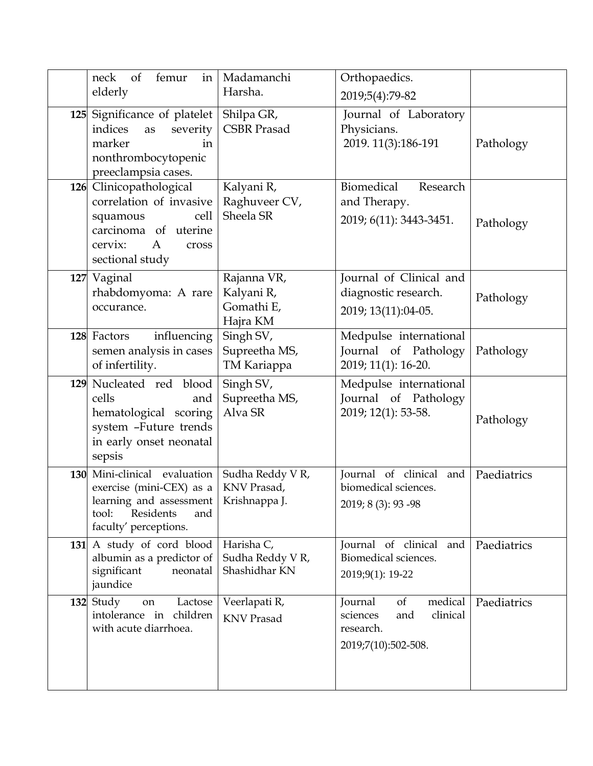|            | femur<br>in<br>neck<br>of<br>elderly                                                                                                                      | Madamanchi<br>Harsha.                               | Orthopaedics.<br>2019;5(4):79-82                                                            |             |
|------------|-----------------------------------------------------------------------------------------------------------------------------------------------------------|-----------------------------------------------------|---------------------------------------------------------------------------------------------|-------------|
|            | 125 Significance of platelet<br>indices<br>severity<br>as<br>marker<br>in<br>nonthrombocytopenic<br>preeclampsia cases.                                   | Shilpa GR,<br><b>CSBR</b> Prasad                    | Journal of Laboratory<br>Physicians.<br>2019. 11(3):186-191                                 | Pathology   |
|            | 126 Clinicopathological<br>correlation of invasive<br>cell<br>squamous<br>carcinoma of uterine<br>cervix:<br>A<br>cross<br>sectional study                | Kalyani R,<br>Raghuveer CV,<br>Sheela SR            | Biomedical<br>Research<br>and Therapy.<br>2019; 6(11): 3443-3451.                           | Pathology   |
|            | 127 Vaginal<br>rhabdomyoma: A rare<br>occurance.                                                                                                          | Rajanna VR,<br>Kalyani R,<br>Gomathi E,<br>Hajra KM | Journal of Clinical and<br>diagnostic research.<br>2019; 13(11):04-05.                      | Pathology   |
|            | 128 Factors<br>influencing<br>semen analysis in cases<br>of infertility.                                                                                  | Singh SV,<br>Supreetha MS,<br>TM Kariappa           | Medpulse international<br>Journal of Pathology<br>2019; 11(1): 16-20.                       | Pathology   |
|            | 129 Nucleated red blood<br>cells<br>and<br>hematological scoring<br>system -Future trends<br>in early onset neonatal<br>sepsis                            | Singh SV,<br>Supreetha MS,<br>Alva SR               | Medpulse international<br>Journal of Pathology<br>2019; 12(1): 53-58.                       | Pathology   |
|            | 130 Mini-clinical evaluation<br>exercise (mini-CEX) as a<br>learning and assessment   Krishnappa J.<br>Residents<br>tool:<br>and<br>faculty' perceptions. | Sudha Reddy V R,<br>KNV Prasad,                     | Journal of clinical<br>and<br>biomedical sciences.<br>2019; 8 (3): 93 - 98                  | Paediatrics |
| <b>131</b> | A study of cord blood<br>albumin as a predictor of<br>significant<br>neonatal<br>jaundice                                                                 | Harisha C,<br>Sudha Reddy V R,<br>Shashidhar KN     | Journal of clinical and<br>Biomedical sciences.<br>2019;9(1): 19-22                         | Paediatrics |
|            | 132 Study<br>Lactose<br>on<br>intolerance in children<br>with acute diarrhoea.                                                                            | Veerlapati R,<br><b>KNV Prasad</b>                  | medical<br>of<br>Journal<br>clinical<br>sciences<br>and<br>research.<br>2019;7(10):502-508. | Paediatrics |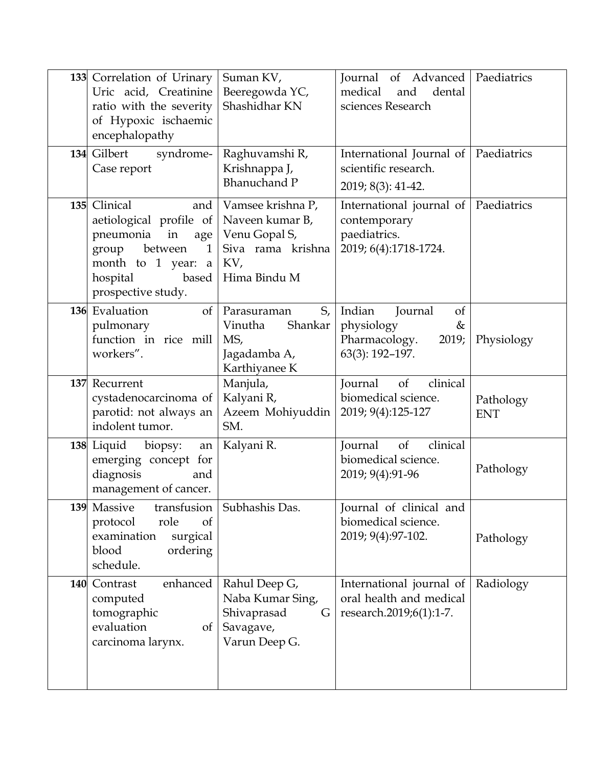| 133 Correlation of Urinary<br>Uric acid, Creatinine<br>ratio with the severity<br>of Hypoxic ischaemic<br>encephalopathy                                              | Suman KV,<br>Beeregowda YC,<br>Shashidhar KN                                                      | Journal of Advanced<br>medical<br>and<br>dental<br>sciences Research                            | Paediatrics             |
|-----------------------------------------------------------------------------------------------------------------------------------------------------------------------|---------------------------------------------------------------------------------------------------|-------------------------------------------------------------------------------------------------|-------------------------|
| 134 Gilbert<br>syndrome-<br>Case report                                                                                                                               | Raghuvamshi R,<br>Krishnappa J,<br><b>Bhanuchand P</b>                                            | International Journal of Paediatrics<br>scientific research.<br>2019; 8(3): 41-42.              |                         |
| 135 Clinical<br>and<br>aetiological profile of<br>pneumonia<br>in<br>age<br>between<br>group<br>1<br>month to 1 year:<br>a<br>hospital<br>based<br>prospective study. | Vamsee krishna P,<br>Naveen kumar B,<br>Venu Gopal S,<br>Siva rama krishna<br>KV,<br>Hima Bindu M | International journal of   Paediatrics<br>contemporary<br>paediatrics.<br>2019; 6(4):1718-1724. |                         |
| 136 Evaluation<br><sub>of</sub><br>pulmonary<br>function in rice mill<br>workers".                                                                                    | S,<br>Parasuraman<br>Shankar<br>Vinutha<br>MS,<br>Jagadamba A,<br>Karthiyanee K                   | Indian<br>Journal<br>of<br>physiology<br>&<br>Pharmacology.<br>2019;<br>63(3): 192-197.         | Physiology              |
| 137 Recurrent<br>cystadenocarcinoma of<br>parotid: not always an<br>indolent tumor.                                                                                   | Manjula,<br>Kalyani R,<br>Azeem Mohiyuddin<br>SM.                                                 | <b>Journal</b><br>of<br>clinical<br>biomedical science.<br>2019; 9(4):125-127                   | Pathology<br><b>ENT</b> |
| 138 Liquid<br>biopsy:<br>an<br>emerging concept for<br>diagnosis<br>and<br>management of cancer.                                                                      | Kalyani R.                                                                                        | clinical<br>of<br>Journal<br>biomedical science.<br>2019; 9(4):91-96                            | Pathology               |
| 139 Massive<br>transfusion<br>role<br>protocol<br><sub>of</sub>                                                                                                       | Subhashis Das.                                                                                    | Journal of clinical and<br>biomedical science.                                                  |                         |
| surgical<br>examination<br>blood<br>ordering<br>schedule.                                                                                                             |                                                                                                   | 2019; 9(4):97-102.                                                                              | Pathology               |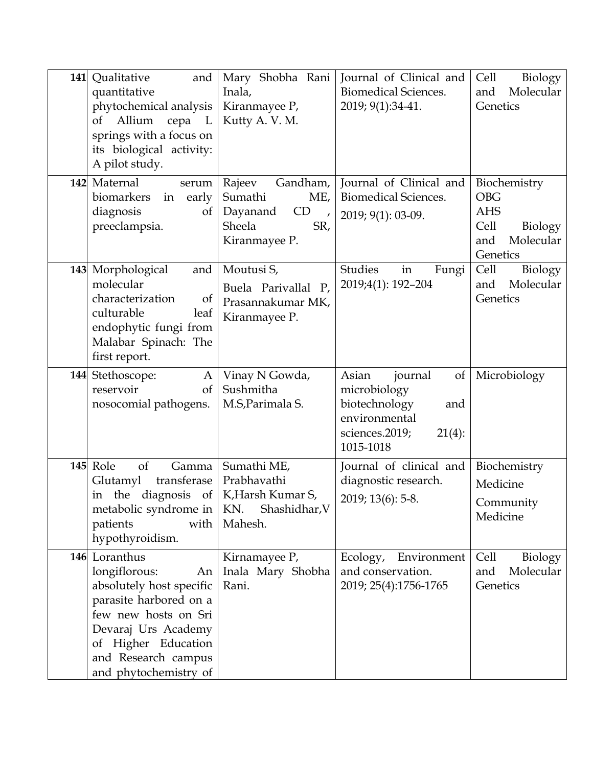| 141 | Qualitative<br>and<br>quantitative<br>phytochemical analysis<br>Allium<br>of<br>cepa L<br>springs with a focus on<br>its biological activity:<br>A pilot study.                                                  | Mary Shobha Rani<br>Inala,<br>Kiranmayee P,<br>Kutty A.V.M.                                                | Journal of Clinical and<br><b>Biomedical Sciences.</b><br>2019; 9(1):34-41.                                                         | Biology<br>Cell<br>Molecular<br>and<br>Genetics                                             |
|-----|------------------------------------------------------------------------------------------------------------------------------------------------------------------------------------------------------------------|------------------------------------------------------------------------------------------------------------|-------------------------------------------------------------------------------------------------------------------------------------|---------------------------------------------------------------------------------------------|
|     | 142 Maternal<br>serum<br>biomarkers<br>early<br>in<br>diagnosis<br>of<br>preeclampsia.                                                                                                                           | Rajeev<br>Gandham,<br>Sumathi<br>ME,<br>Dayanand<br>CD<br>$\overline{ }$<br>Sheela<br>SR,<br>Kiranmayee P. | Journal of Clinical and<br>Biomedical Sciences.<br>2019; 9(1): 03-09.                                                               | Biochemistry<br><b>OBG</b><br><b>AHS</b><br>Cell<br>Biology<br>Molecular<br>and<br>Genetics |
|     | 143 Morphological<br>and<br>molecular<br>characterization<br>of<br>culturable<br>leaf<br>endophytic fungi from<br>Malabar Spinach: The<br>first report.                                                          | Moutusi S,<br>Buela Parivallal P,<br>Prasannakumar MK,<br>Kiranmayee P.                                    | Studies<br>in<br>Fungi<br>2019;4(1): 192-204                                                                                        | Cell<br>Biology<br>Molecular<br>and<br>Genetics                                             |
| 144 | Stethoscope:<br>A<br>reservoir<br><sub>of</sub><br>nosocomial pathogens.                                                                                                                                         | Vinay N Gowda,<br>Sushmitha<br>M.S, Parimala S.                                                            | Asian<br>journal<br><sub>of</sub><br>microbiology<br>biotechnology<br>and<br>environmental<br>sciences.2019;<br>21(4):<br>1015-1018 | Microbiology                                                                                |
| 145 | Role<br>of<br>Gamma<br>transferase<br>Glutamyl<br>in the diagnosis of<br>metabolic syndrome in   KN.<br>patients<br>with<br>hypothyroidism.                                                                      | Sumathi ME,<br>Prabhavathi<br>K, Harsh Kumar S,<br>Shashidhar, V<br>Mahesh.                                | Journal of clinical and<br>diagnostic research.<br>2019; 13(6): 5-8.                                                                | Biochemistry<br>Medicine<br>Community<br>Medicine                                           |
|     | 146 Loranthus<br>longiflorous:<br>An<br>absolutely host specific<br>parasite harbored on a<br>few new hosts on Sri<br>Devaraj Urs Academy<br>of Higher Education<br>and Research campus<br>and phytochemistry of | Kirnamayee P,<br>Inala Mary Shobha<br>Rani.                                                                | Ecology,<br>Environment<br>and conservation.<br>2019; 25(4):1756-1765                                                               | Cell<br>Biology<br>Molecular<br>and<br>Genetics                                             |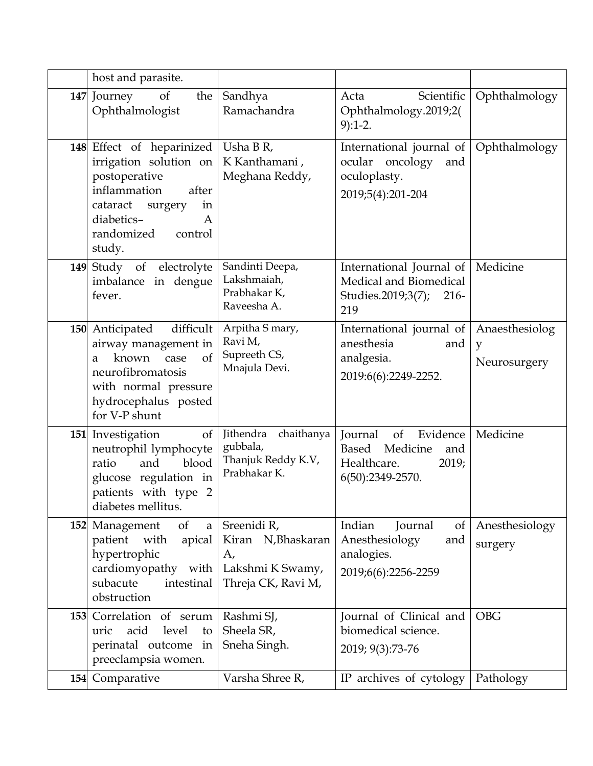|     | host and parasite.                                                                                                                                                               |                                                                                   |                                                                                                      |                                     |
|-----|----------------------------------------------------------------------------------------------------------------------------------------------------------------------------------|-----------------------------------------------------------------------------------|------------------------------------------------------------------------------------------------------|-------------------------------------|
|     | 147 Journey<br>of<br>the<br>Ophthalmologist                                                                                                                                      | Sandhya<br>Ramachandra                                                            | Acta<br>Scientific<br>Ophthalmology.2019;2(<br>$9):1-2.$                                             | Ophthalmology                       |
|     | 148 Effect of heparinized<br>irrigation solution on<br>postoperative<br>inflammation<br>after<br>cataract<br>surgery<br>in<br>diabetics-<br>A<br>randomized<br>control<br>study. | Usha B R,<br>K Kanthamani,<br>Meghana Reddy,                                      | International journal of<br>ocular oncology<br>and<br>oculoplasty.<br>2019;5(4):201-204              | Ophthalmology                       |
|     | 149 Study of<br>electrolyte<br>imbalance in dengue<br>fever.                                                                                                                     | Sandinti Deepa,<br>Lakshmaiah,<br>Prabhakar K,<br>Raveesha A.                     | International Journal of   Medicine<br>Medical and Biomedical<br>Studies.2019;3(7);<br>$216-$<br>219 |                                     |
|     | difficult<br>150 Anticipated<br>airway management in<br>known<br>of<br>case<br>a<br>neurofibromatosis<br>with normal pressure<br>hydrocephalus posted<br>for V-P shunt           | Arpitha S mary,<br>Ravi M,<br>Supreeth CS,<br>Mnajula Devi.                       | International journal of<br>anesthesia<br>and<br>analgesia.<br>2019:6(6):2249-2252.                  | Anaesthesiolog<br>y<br>Neurosurgery |
|     | of<br>151 Investigation<br>neutrophil lymphocyte<br>blood<br>and<br>ratio<br>glucose regulation in<br>patients with type 2<br>diabetes mellitus.                                 | Jithendra<br>chaithanya<br>gubbala,<br>Thanjuk Reddy K.V,<br>Prabhakar K.         | Journal<br>of<br>Evidence<br>Based<br>Medicine<br>and<br>Healthcare.<br>2019;<br>6(50):2349-2570.    | Medicine                            |
|     | 152 Management<br>of<br>$\mathbf{a}$<br>patient<br>apical<br>with<br>hypertrophic<br>cardiomyopathy with<br>subacute<br>intestinal<br>obstruction                                | Sreenidi R,<br>Kiran N, Bhaskaran<br>A,<br>Lakshmi K Swamy,<br>Threja CK, Ravi M, | Indian<br>Journal<br>$\sigma$<br>Anesthesiology<br>and<br>analogies.<br>2019;6(6):2256-2259          | Anesthesiology<br>surgery           |
| 153 | Correlation of serum<br>level<br>acid<br>uric<br>to<br>perinatal outcome in<br>preeclampsia women.                                                                               | Rashmi SJ,<br>Sheela SR,<br>Sneha Singh.                                          | Journal of Clinical and<br>biomedical science.<br>2019; 9(3):73-76                                   | <b>OBG</b>                          |
| 154 | Comparative                                                                                                                                                                      | Varsha Shree R,                                                                   | IP archives of cytology                                                                              | Pathology                           |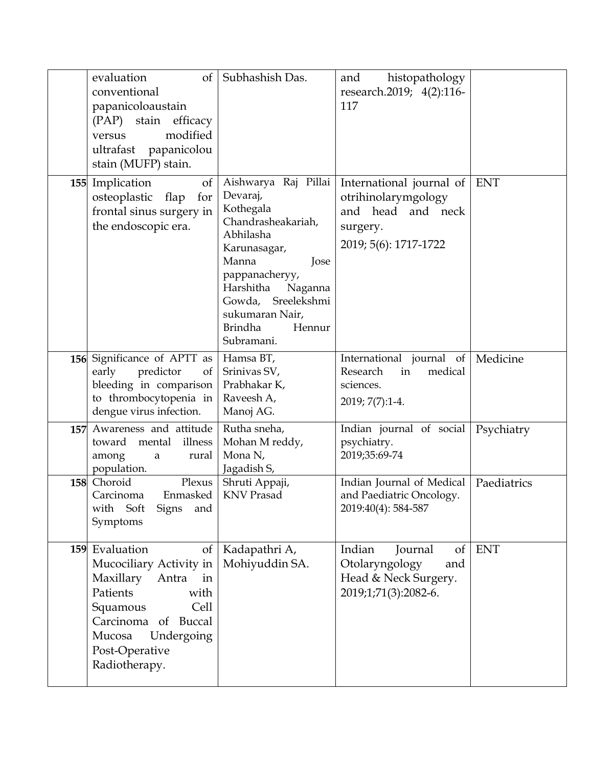|     | evaluation<br>$\sigma$<br>conventional<br>papanicoloaustain<br>(PAP) stain efficacy<br>modified<br>versus<br>ultrafast papanicolou<br>stain (MUFP) stain.                                             | Subhashish Das.                                                                                                                                                                                                                                   | histopathology<br>and<br>research.2019; 4(2):116-<br>117                                                  |             |
|-----|-------------------------------------------------------------------------------------------------------------------------------------------------------------------------------------------------------|---------------------------------------------------------------------------------------------------------------------------------------------------------------------------------------------------------------------------------------------------|-----------------------------------------------------------------------------------------------------------|-------------|
|     | 155 Implication<br>$\sigma f$<br>osteoplastic<br>flap<br>for<br>frontal sinus surgery in<br>the endoscopic era.                                                                                       | Aishwarya Raj Pillai<br>Devaraj,<br>Kothegala<br>Chandrasheakariah,<br>Abhilasha<br>Karunasagar,<br>Manna<br>Jose<br>pappanacheryy,<br>Harshitha<br>Naganna<br>Sreelekshmi<br>Gowda,<br>sukumaran Nair,<br><b>Brindha</b><br>Hennur<br>Subramani. | International journal of<br>otrihinolarymgology<br>and head and neck<br>surgery.<br>2019; 5(6): 1717-1722 | <b>ENT</b>  |
|     | 156 Significance of APTT as<br>predictor<br>of<br>early<br>bleeding in comparison<br>to thrombocytopenia in<br>dengue virus infection.                                                                | Hamsa BT,<br>Srinivas SV,<br>Prabhakar K,<br>Raveesh A,<br>Manoj AG.                                                                                                                                                                              | International journal of<br>Research<br>medical<br>in<br>sciences.<br>2019; 7(7):1-4.                     | Medicine    |
| 157 | Awareness and attitude<br>mental<br>illness<br>toward<br>among<br>rural<br>a<br>population.                                                                                                           | Rutha sneha,<br>Mohan M reddy,<br>Mona N,<br>Jagadish S,                                                                                                                                                                                          | Indian journal of social<br>psychiatry.<br>2019;35:69-74                                                  | Psychiatry  |
| 158 | Choroid<br>Plexus<br>Enmasked<br>Carcinoma<br>with Soft<br><b>Signs</b><br>and<br>Symptoms                                                                                                            | Shruti Appaji,<br><b>KNV Prasad</b>                                                                                                                                                                                                               | Indian Journal of Medical<br>and Paediatric Oncology.<br>2019:40(4): 584-587                              | Paediatrics |
|     | 159 Evaluation<br>of<br>Mucociliary Activity in<br>Maxillary<br>Antra<br>in<br>Patients<br>with<br>Squamous<br>Cell<br>Carcinoma of Buccal<br>Mucosa<br>Undergoing<br>Post-Operative<br>Radiotherapy. | Kadapathri A,<br>Mohiyuddin SA.                                                                                                                                                                                                                   | Indian<br>of<br>Journal<br>Otolaryngology<br>and<br>Head & Neck Surgery.<br>2019;1;71(3):2082-6.          | <b>ENT</b>  |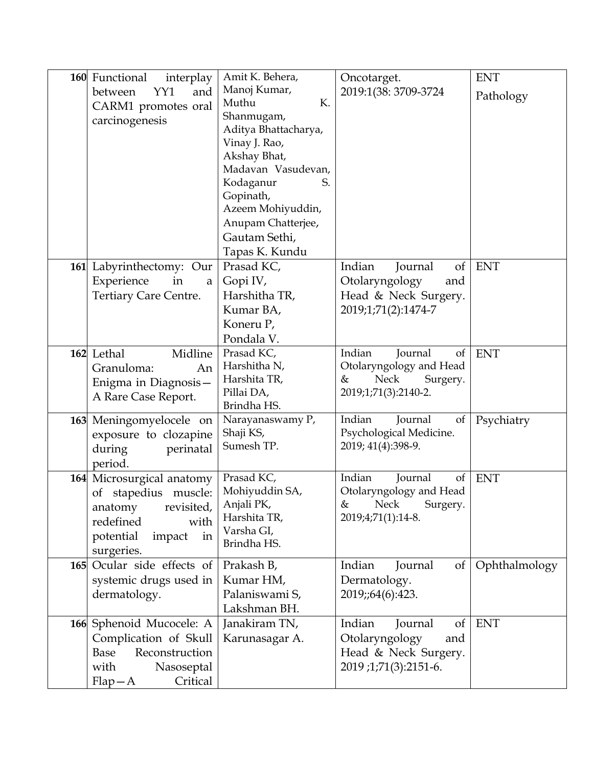| 160 Functional<br>interplay<br>YY1<br>between<br>and<br>CARM1 promotes oral<br>carcinogenesis                                              | Amit K. Behera,<br>Manoj Kumar,<br>Muthu<br>К.<br>Shanmugam,<br>Aditya Bhattacharya,<br>Vinay J. Rao,<br>Akshay Bhat,<br>Madavan Vasudevan,<br>Kodaganur<br>S.<br>Gopinath,<br>Azeem Mohiyuddin,<br>Anupam Chatterjee, | Oncotarget.<br>2019:1(38: 3709-3724                                                                 | <b>ENT</b><br>Pathology |
|--------------------------------------------------------------------------------------------------------------------------------------------|------------------------------------------------------------------------------------------------------------------------------------------------------------------------------------------------------------------------|-----------------------------------------------------------------------------------------------------|-------------------------|
| 161 Labyrinthectomy: Our<br>Experience<br>in<br>a<br>Tertiary Care Centre.                                                                 | Gautam Sethi,<br>Tapas K. Kundu<br>Prasad KC,<br>Gopi IV,<br>Harshitha TR,<br>Kumar BA,<br>Koneru P,<br>Pondala V.                                                                                                     | Indian<br>Journal<br>of<br>Otolaryngology<br>and<br>Head & Neck Surgery.<br>2019;1;71(2):1474-7     | <b>ENT</b>              |
| 162 Lethal<br>Midline<br>Granuloma:<br>An<br>Enigma in Diagnosis-<br>A Rare Case Report.                                                   | Prasad KC,<br>Harshitha N,<br>Harshita TR,<br>Pillai DA,<br>Brindha HS.                                                                                                                                                | Indian<br>Journal<br>of<br>Otolaryngology and Head<br>Neck<br>Surgery.<br>&<br>2019;1;71(3):2140-2. | <b>ENT</b>              |
| 163 Meningomyelocele on<br>exposure to clozapine<br>during<br>perinatal<br>period.                                                         | Narayanaswamy P,<br>Shaji KS,<br>Sumesh TP.                                                                                                                                                                            | Indian<br>Journal<br>of<br>Psychological Medicine.<br>2019; 41(4):398-9.                            | Psychiatry              |
| 164 Microsurgical anatomy<br>of stapedius muscle:<br>revisited,<br>anatomy<br>redefined<br>with<br>potential<br>impact<br>in<br>surgeries. | Prasad KC,<br>Mohiyuddin SA,<br>Anjali PK,<br>Harshita TR,<br>Varsha GI,<br>Brindha HS.                                                                                                                                | Indian<br>Journal<br>of<br>Otolaryngology and Head<br>& Neck<br>Surgery.<br>2019;4;71(1):14-8.      | <b>ENT</b>              |
| 165 Ocular side effects of<br>systemic drugs used in<br>dermatology.                                                                       | Prakash B,<br>Kumar HM,<br>Palaniswami S,<br>Lakshman BH.                                                                                                                                                              | Indian<br>Journal<br>of<br>Dermatology.<br>2019;;64(6):423.                                         | Ophthalmology           |
| 166 Sphenoid Mucocele: A<br>Complication of Skull<br>Reconstruction<br>Base<br>with<br>Nasoseptal<br>Critical<br>$Flap-A$                  | Janakiram TN,<br>Karunasagar A.                                                                                                                                                                                        | Indian<br>Journal<br>of<br>Otolaryngology<br>and<br>Head & Neck Surgery.<br>2019;1;71(3):2151-6.    | ENT                     |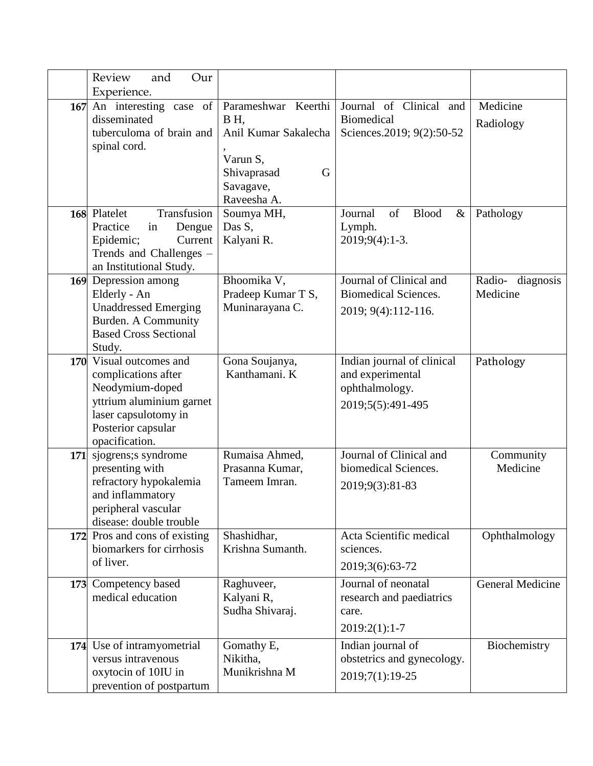|     | Review<br>and<br>Our<br>Experience.                                                                                                                           |                                                                                                                |                                                                                       |                              |
|-----|---------------------------------------------------------------------------------------------------------------------------------------------------------------|----------------------------------------------------------------------------------------------------------------|---------------------------------------------------------------------------------------|------------------------------|
| 167 | An interesting case of<br>disseminated<br>tuberculoma of brain and<br>spinal cord.                                                                            | Parameshwar Keerthi<br>BH.<br>Anil Kumar Sakalecha<br>Varun S,<br>Shivaprasad<br>G<br>Savagave,<br>Raveesha A. | Journal of Clinical and<br><b>Biomedical</b><br>Sciences.2019; 9(2):50-52             | Medicine<br>Radiology        |
|     | Transfusion<br>168 Platelet<br>Practice<br>in<br>Dengue<br>Current<br>Epidemic;<br>Trends and Challenges -<br>an Institutional Study.                         | Soumya MH,<br>Das S,<br>Kalyani R.                                                                             | of<br>Journal<br><b>Blood</b><br>$\&$<br>Lymph.<br>2019;9(4):1-3.                     | Pathology                    |
|     | 169 Depression among<br>Elderly - An<br><b>Unaddressed Emerging</b><br>Burden. A Community<br><b>Based Cross Sectional</b><br>Study.                          | Bhoomika V,<br>Pradeep Kumar T S,<br>Muninarayana C.                                                           | Journal of Clinical and<br><b>Biomedical Sciences.</b><br>2019; 9(4):112-116.         | Radio- diagnosis<br>Medicine |
|     | 170 Visual outcomes and<br>complications after<br>Neodymium-doped<br>yttrium aluminium garnet<br>laser capsulotomy in<br>Posterior capsular<br>opacification. | Gona Soujanya,<br>Kanthamani. K                                                                                | Indian journal of clinical<br>and experimental<br>ophthalmology.<br>2019;5(5):491-495 | Pathology                    |
| 171 | sjogrens;s syndrome<br>presenting with<br>refractory hypokalemia<br>and inflammatory<br>peripheral vascular<br>disease: double trouble                        | Rumaisa Ahmed,<br>Prasanna Kumar,<br>Tameem Imran.                                                             | Journal of Clinical and<br>biomedical Sciences.<br>2019;9(3):81-83                    | Community<br>Medicine        |
|     | 172 Pros and cons of existing<br>biomarkers for cirrhosis<br>of liver.                                                                                        | Shashidhar,<br>Krishna Sumanth.                                                                                | Acta Scientific medical<br>sciences.<br>2019;3(6):63-72                               | Ophthalmology                |
|     | 173 Competency based<br>medical education                                                                                                                     | Raghuveer,<br>Kalyani R,<br>Sudha Shivaraj.                                                                    | Journal of neonatal<br>research and paediatrics<br>care.<br>$2019:2(1):1-7$           | <b>General Medicine</b>      |
|     | 174 Use of intramyometrial<br>versus intravenous<br>oxytocin of 10IU in<br>prevention of postpartum                                                           | Gomathy E,<br>Nikitha,<br>Munikrishna M                                                                        | Indian journal of<br>obstetrics and gynecology.<br>2019;7(1):19-25                    | Biochemistry                 |